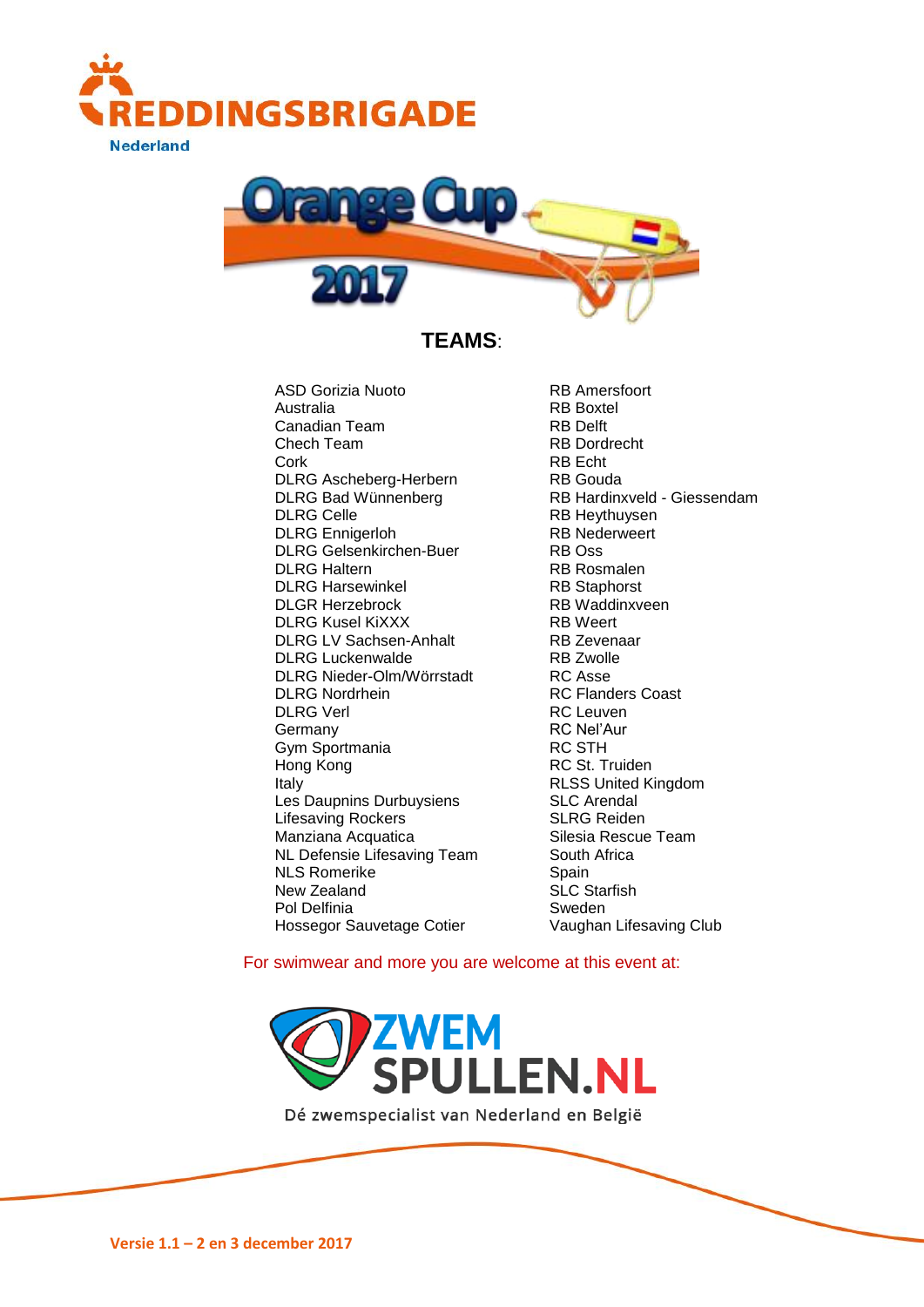



**TEAMS**:

ASD Gorizia Nuoto RB Amersfoort Australia RB Boxtel Canadian Team RB Delft Chech Team RB Dordrecht Cork RB Echt DLRG Ascheberg-Herbern RB Gouda DLRG Celle RB Heythuysen DLRG Ennigerloh **RB Nederweert**<br>
DLRG Gelsenkirchen-Buer
RB Oss **RB** DLRG Gelsenkirchen-Buer DLRG Haltern RB Rosmalen DLRG Harsewinkel RB Staphorst DLGR Herzebrock RB Waddinxveen DLRG Kusel KiXXX RB Weert DLRG LV Sachsen-Anhalt RB Zevenaar DLRG Luckenwalde RB Zwolle DLRG Nieder-Olm/Wörrstadt RC Asse<br>DLRG Nordrhein RC Fland DLRG Nordrhein **RC Flanders Coast**<br>
DLRG Verl **RC Leuven** Germany RC Nel'Aur<br>
Gym Sportmania and RC STH Gym Sportmania Hong Kong **RC St. Truiden** Italy RLSS United Kingdom Les Daupnins Durbuysiens SLC Arendal Lifesaving Rockers SLRG Reiden Manziana Acquatica Silesia Rescue Team NL Defensie Lifesaving Team South Africa NLS Romerike Spain New Zealand SLC Starfish Hossegor Sauvetage Cotier

DLRG Bad Wünnenberg RB Hardinxveld - Giessendam RC Leuven Pol Delfinia<br>
Hossegor Sauvetage Cotier<br>
Vaughan Lifesaving Club

For swimwear and more you are welcome at this event at:

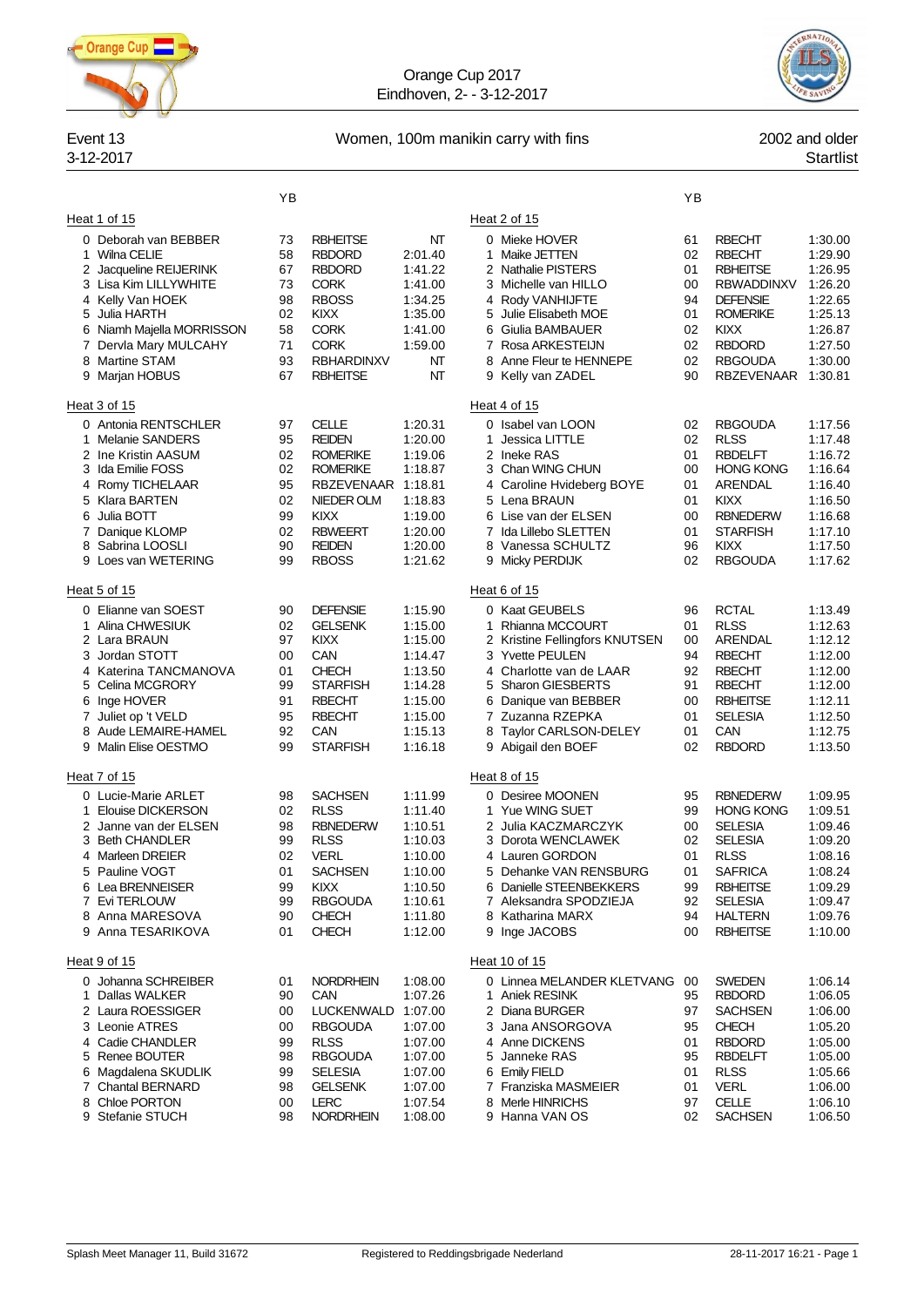

Orange Cup 2017 Eindhoven, 2- - 3-12-2017



# Event 13 Women, 100m manikin carry with fins 2002 and older

# 3-12-2017 Startlist

|                                                                                                                                                                                                                               | ΥB                                                       |                                                                                                                                                                       |                                                                                                            |                                                                                                                                                                                                                                       | ΥB                                                       |                                                                                                                                                                                     |                                                                                                            |
|-------------------------------------------------------------------------------------------------------------------------------------------------------------------------------------------------------------------------------|----------------------------------------------------------|-----------------------------------------------------------------------------------------------------------------------------------------------------------------------|------------------------------------------------------------------------------------------------------------|---------------------------------------------------------------------------------------------------------------------------------------------------------------------------------------------------------------------------------------|----------------------------------------------------------|-------------------------------------------------------------------------------------------------------------------------------------------------------------------------------------|------------------------------------------------------------------------------------------------------------|
| Heat 1 of 15                                                                                                                                                                                                                  |                                                          |                                                                                                                                                                       |                                                                                                            | Heat 2 of 15                                                                                                                                                                                                                          |                                                          |                                                                                                                                                                                     |                                                                                                            |
| 0 Deborah van BEBBER<br>Wilna CELIE<br>1<br>Jacqueline REIJERINK<br>2<br>3 Lisa Kim LILLYWHITE<br>4 Kelly Van HOEK<br>5 Julia HARTH<br>6 Niamh Majella MORRISSON<br>7 Dervla Mary MULCAHY<br>8 Martine STAM<br>9 Marjan HOBUS | 73<br>58<br>67<br>73<br>98<br>02<br>58<br>71<br>93<br>67 | <b>RBHEITSE</b><br><b>RBDORD</b><br><b>RBDORD</b><br><b>CORK</b><br><b>RBOSS</b><br><b>KIXX</b><br><b>CORK</b><br><b>CORK</b><br><b>RBHARDINXV</b><br><b>RBHEITSE</b> | NT<br>2:01.40<br>1:41.22<br>1:41.00<br>1:34.25<br>1:35.00<br>1:41.00<br>1:59.00<br>NT<br>NΤ                | 0 Mieke HOVER<br>Maike JETTEN<br>1<br>2 Nathalie PISTERS<br>3 Michelle van HILLO<br>4 Rody VANHIJFTE<br>5 Julie Elisabeth MOE<br>6 Giulia BAMBAUER<br>7 Rosa ARKESTEIJN<br>8 Anne Fleur te HENNEPE<br>9 Kelly van ZADEL               | 61<br>02<br>01<br>00<br>94<br>01<br>02<br>02<br>02<br>90 | <b>RBECHT</b><br><b>RBECHT</b><br><b>RBHEITSE</b><br><b>RBWADDINXV</b><br><b>DEFENSIE</b><br><b>ROMERIKE</b><br><b>KIXX</b><br><b>RBDORD</b><br><b>RBGOUDA</b><br><b>RBZEVENAAR</b> | 1:30.00<br>1:29.90<br>1:26.95<br>1:26.20<br>1:22.65<br>1:25.13<br>1:26.87<br>1:27.50<br>1:30.00<br>1:30.81 |
| Heat 3 of 15                                                                                                                                                                                                                  |                                                          |                                                                                                                                                                       |                                                                                                            | Heat 4 of 15                                                                                                                                                                                                                          |                                                          |                                                                                                                                                                                     |                                                                                                            |
| 0 Antonia RENTSCHLER<br>1 Melanie SANDERS<br>2 Ine Kristin AASUM<br>3 Ida Emilie FOSS<br>4 Romy TICHELAAR<br>5 Klara BARTEN<br>Julia BOTT<br>6<br>7 Danique KLOMP<br>Sabrina LOOSLI<br>8<br>Loes van WETERING<br>9            | 97<br>95<br>02<br>02<br>95<br>02<br>99<br>02<br>90<br>99 | <b>CELLE</b><br><b>REIDEN</b><br><b>ROMERIKE</b><br><b>ROMERIKE</b><br>RBZEVENAAR<br>NIEDER OLM<br><b>KIXX</b><br><b>RBWEERT</b><br><b>REIDEN</b><br><b>RBOSS</b>     | 1:20.31<br>1:20.00<br>1:19.06<br>1:18.87<br>1:18.81<br>1:18.83<br>1:19.00<br>1:20.00<br>1:20.00<br>1:21.62 | 0 Isabel van LOON<br>Jessica LITTLE<br>1.<br>2 Ineke RAS<br>3 Chan WING CHUN<br>4 Caroline Hvideberg BOYE<br>5 Lena BRAUN<br>6 Lise van der ELSEN<br>7 Ida Lillebo SLETTEN<br>8 Vanessa SCHULTZ<br>9 Micky PERDIJK                    | 02<br>02<br>01<br>00<br>01<br>01<br>00<br>01<br>96<br>02 | <b>RBGOUDA</b><br><b>RLSS</b><br><b>RBDELFT</b><br><b>HONG KONG</b><br>ARENDAL<br><b>KIXX</b><br><b>RBNEDERW</b><br><b>STARFISH</b><br>KIXX<br><b>RBGOUDA</b>                       | 1:17.56<br>1:17.48<br>1:16.72<br>1:16.64<br>1:16.40<br>1:16.50<br>1:16.68<br>1:17.10<br>1:17.50<br>1:17.62 |
| Heat 5 of 15                                                                                                                                                                                                                  |                                                          |                                                                                                                                                                       |                                                                                                            | Heat 6 of 15                                                                                                                                                                                                                          |                                                          |                                                                                                                                                                                     |                                                                                                            |
| 0 Elianne van SOEST<br>Alina CHWESIUK<br>1<br>2 Lara BRAUN<br>3 Jordan STOTT<br>4 Katerina TANCMANOVA<br>Celina MCGRORY<br>5.<br>Inge HOVER<br>6<br>7 Juliet op 't VELD<br>Aude LEMAIRE-HAMEL<br>8<br>Malin Elise OESTMO<br>9 | 90<br>02<br>97<br>00<br>01<br>99<br>91<br>95<br>92<br>99 | <b>DEFENSIE</b><br><b>GELSENK</b><br><b>KIXX</b><br>CAN<br>CHECH<br><b>STARFISH</b><br><b>RBECHT</b><br><b>RBECHT</b><br>CAN<br><b>STARFISH</b>                       | 1:15.90<br>1:15.00<br>1:15.00<br>1:14.47<br>1:13.50<br>1:14.28<br>1:15.00<br>1:15.00<br>1:15.13<br>1:16.18 | 0 Kaat GEUBELS<br>1 Rhianna MCCOURT<br>2 Kristine Fellingfors KNUTSEN<br>3 Yvette PEULEN<br>4 Charlotte van de LAAR<br>5 Sharon GIESBERTS<br>6 Danique van BEBBER<br>7 Zuzanna RZEPKA<br>8 Taylor CARLSON-DELEY<br>9 Abigail den BOEF | 96<br>01<br>00<br>94<br>92<br>91<br>00<br>01<br>01<br>02 | <b>RCTAL</b><br><b>RLSS</b><br>ARENDAL<br><b>RBECHT</b><br><b>RBECHT</b><br><b>RBECHT</b><br><b>RBHEITSE</b><br><b>SELESIA</b><br>CAN<br><b>RBDORD</b>                              | 1:13.49<br>1:12.63<br>1:12.12<br>1:12.00<br>1:12.00<br>1:12.00<br>1:12.11<br>1:12.50<br>1:12.75<br>1:13.50 |
| Heat 7 of 15                                                                                                                                                                                                                  |                                                          |                                                                                                                                                                       |                                                                                                            | Heat 8 of 15                                                                                                                                                                                                                          |                                                          |                                                                                                                                                                                     |                                                                                                            |
| 0 Lucie-Marie ARLET<br>1 Elouise DICKERSON<br>2 Janne van der ELSEN<br>3<br><b>Beth CHANDLER</b><br>4 Marleen DREIER<br>5<br>Pauline VOGT<br>6 Lea BRENNEISER<br>7 Evi TERLOUW<br>8 Anna MARESOVA<br>9 Anna TESARIKOVA        | 98<br>02<br>98<br>99<br>02<br>01<br>99<br>99<br>90<br>01 | <b>SACHSEN</b><br><b>RLSS</b><br><b>RBNEDERW</b><br><b>RLSS</b><br>VERL<br><b>SACHSEN</b><br><b>KIXX</b><br><b>RBGOUDA</b><br><b>CHECH</b><br><b>CHECH</b>            | 1:11.99<br>1:11.40<br>1:10.51<br>1:10.03<br>1:10.00<br>1:10.00<br>1:10.50<br>1:10.61<br>1:11.80<br>1:12.00 | 0 Desiree MOONEN<br>1 Yue WING SUET<br>2 Julia KACZMARCZYK<br>3 Dorota WENCLAWEK<br>4 Lauren GORDON<br>5 Dehanke VAN RENSBURG<br>6 Danielle STEENBEKKERS<br>7 Aleksandra SPODZIEJA<br>8 Katharina MARX<br>9 Inge JACOBS               | 95<br>99<br>00<br>02<br>01<br>01<br>99<br>92<br>94<br>00 | <b>RBNEDERW</b><br><b>HONG KONG</b><br><b>SELESIA</b><br><b>SELESIA</b><br><b>RLSS</b><br><b>SAFRICA</b><br><b>RBHEITSE</b><br><b>SELESIA</b><br><b>HALTERN</b><br><b>RBHEITSE</b>  | 1:09.95<br>1:09.51<br>1:09.46<br>1:09.20<br>1:08.16<br>1:08.24<br>1:09.29<br>1:09.47<br>1:09.76<br>1:10.00 |
| Heat 9 of 15                                                                                                                                                                                                                  |                                                          |                                                                                                                                                                       |                                                                                                            | Heat 10 of 15                                                                                                                                                                                                                         |                                                          |                                                                                                                                                                                     |                                                                                                            |
| 0 Johanna SCHREIBER<br>1 Dallas WALKER<br>2 Laura ROESSIGER<br>3 Leonie ATRES<br>4 Cadie CHANDLER<br>5 Renee BOUTER<br>6 Magdalena SKUDLIK<br>7 Chantal BERNARD<br>8 Chloe PORTON<br>9 Stefanie STUCH                         | 01<br>90<br>00<br>00<br>99<br>98<br>99<br>98<br>00<br>98 | <b>NORDRHEIN</b><br>CAN<br>LUCKENWALD<br><b>RBGOUDA</b><br><b>RLSS</b><br><b>RBGOUDA</b><br><b>SELESIA</b><br><b>GELSENK</b><br>LERC<br><b>NORDRHEIN</b>              | 1:08.00<br>1:07.26<br>1:07.00<br>1:07.00<br>1:07.00<br>1:07.00<br>1:07.00<br>1:07.00<br>1:07.54<br>1:08.00 | 0 Linnea MELANDER KLETVANG 00<br>1 Aniek RESINK<br>2 Diana BURGER<br>3 Jana ANSORGOVA<br>4 Anne DICKENS<br>5 Janneke RAS<br>6 Emily FIELD<br>7 Franziska MASMEIER<br>8 Merle HINRICHS<br>9 Hanna VAN OS                               | 95<br>97<br>95<br>01<br>95<br>01<br>01<br>97<br>02       | <b>SWEDEN</b><br><b>RBDORD</b><br><b>SACHSEN</b><br><b>CHECH</b><br><b>RBDORD</b><br>RBDELFT<br><b>RLSS</b><br><b>VERL</b><br><b>CELLE</b><br><b>SACHSEN</b>                        | 1:06.14<br>1:06.05<br>1:06.00<br>1:05.20<br>1:05.00<br>1:05.00<br>1:05.66<br>1:06.00<br>1:06.10<br>1:06.50 |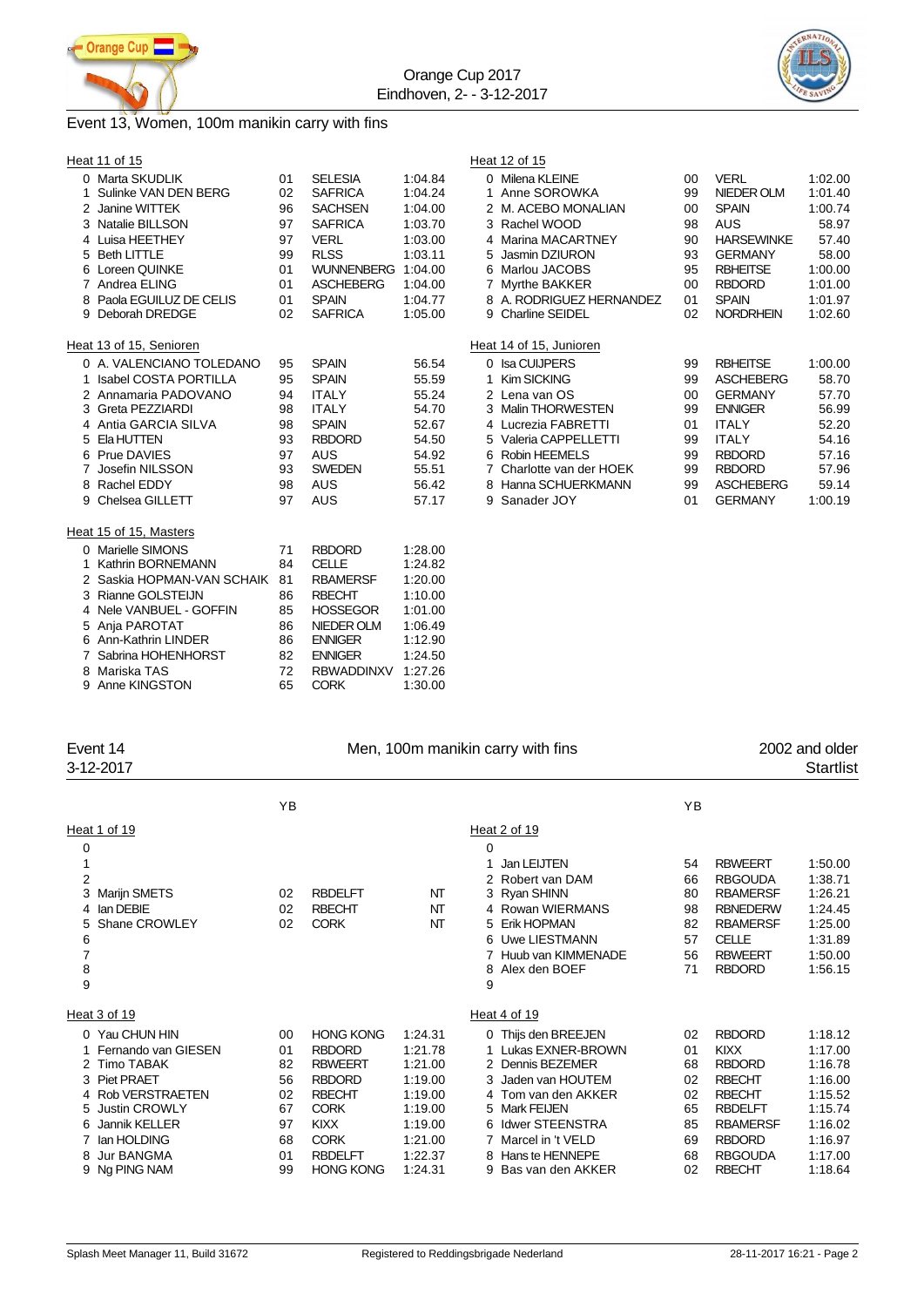



# Event 13, Women, 100m manikin carry with fins

|    | Heat 11 of 15                |    |                   |         | Heat 12 of 15                                   |         |
|----|------------------------------|----|-------------------|---------|-------------------------------------------------|---------|
|    | 0 Marta SKUDLIK              | 01 | <b>SELESIA</b>    | 1:04.84 | 0 Milena KLEINE<br><b>VERL</b><br>$00\,$        | 1:02.00 |
|    | Sulinke VAN DEN BERG         | 02 | <b>SAFRICA</b>    | 1:04.24 | 1 Anne SOROWKA<br><b>NIEDER OLM</b><br>99       | 1:01.40 |
|    | 2 Janine WITTEK              | 96 | <b>SACHSEN</b>    | 1:04.00 | 2 M. ACEBO MONALIAN<br><b>SPAIN</b><br>00       | 1:00.74 |
| З  | <b>Natalie BILLSON</b>       | 97 | <b>SAFRICA</b>    | 1:03.70 | 3 Rachel WOOD<br><b>AUS</b><br>98               | 58.97   |
| 4  | Luisa HEETHEY                | 97 | <b>VERL</b>       | 1:03.00 | 4 Marina MACARTNEY<br><b>HARSEWINKE</b><br>90   | 57.40   |
| 5  | <b>Beth LITTLE</b>           | 99 | <b>RLSS</b>       | 1:03.11 | <b>GERMANY</b><br>5 Jasmin DZIURON<br>93        | 58.00   |
| 6  | Loreen QUINKE                | 01 | <b>WUNNENBERG</b> | 1:04.00 | <b>RBHEITSE</b><br>6 Marlou JACOBS<br>95        | 1:00.00 |
|    | 7 Andrea ELING               | 01 | <b>ASCHEBERG</b>  | 1:04.00 | 7 Myrthe BAKKER<br><b>RBDORD</b><br>$00 \,$     | 1:01.00 |
| 8  | Paola EGUILUZ DE CELIS       | 01 | <b>SPAIN</b>      | 1:04.77 | 8 A. RODRIGUEZ HERNANDEZ<br><b>SPAIN</b><br>01  | 1:01.97 |
| 9  | Deborah DREDGE               | 02 | <b>SAFRICA</b>    | 1:05.00 | <b>NORDRHEIN</b><br>9 Charline SEIDEL<br>02     | 1:02.60 |
|    | Heat 13 of 15, Senioren      |    |                   |         | Heat 14 of 15, Junioren                         |         |
|    | 0 A. VALENCIANO TOLEDANO     | 95 | <b>SPAIN</b>      | 56.54   | 0 Isa CUIJPERS<br><b>RBHEITSE</b><br>99         | 1:00.00 |
|    | <b>Isabel COSTA PORTILLA</b> | 95 | <b>SPAIN</b>      | 55.59   | 1 Kim SICKING<br><b>ASCHEBERG</b><br>99         | 58.70   |
|    | 2 Annamaria PADOVANO         | 94 | <b>ITALY</b>      | 55.24   | 2 Lena van OS<br><b>GERMANY</b><br>$00\,$       | 57.70   |
| 3. | Greta PEZZIARDI              | 98 | <b>ITALY</b>      | 54.70   | 3 Malin THORWESTEN<br><b>ENNIGER</b><br>99      | 56.99   |
|    | 4 Antia GARCIA SILVA         | 98 | <b>SPAIN</b>      | 52.67   | <b>ITALY</b><br>4 Lucrezia FABRETTI<br>01       | 52.20   |
| 5  | Ela HUTTEN                   | 93 | <b>RBDORD</b>     | 54.50   | <b>ITALY</b><br>5 Valeria CAPPELLETTI<br>99     | 54.16   |
| 6  | Prue DAVIES                  | 97 | <b>AUS</b>        | 54.92   | 6 Robin HEEMELS<br><b>RBDORD</b><br>99          | 57.16   |
|    | Josefin NILSSON              | 93 | <b>SWEDEN</b>     | 55.51   | 7 Charlotte van der HOEK<br><b>RBDORD</b><br>99 | 57.96   |
| 8  | Rachel EDDY                  | 98 | <b>AUS</b>        | 56.42   | 8 Hanna SCHUERKMANN<br><b>ASCHEBERG</b><br>99   | 59.14   |
| 9  | Chelsea GILLETT              | 97 | <b>AUS</b>        | 57.17   | 9 Sanader JOY<br><b>GERMANY</b><br>01           | 1:00.19 |
|    | Heat 15 of 15, Masters       |    |                   |         |                                                 |         |
|    | 0 Marielle SIMONS            | 71 | <b>RBDORD</b>     | 1:28.00 |                                                 |         |
|    | <b>Kathrin BORNEMANN</b>     | 84 | <b>CELLE</b>      | 1:24.82 |                                                 |         |
|    | 2 Saskia HOPMAN-VAN SCHAIK   | 81 | <b>RBAMERSF</b>   | 1:20.00 |                                                 |         |
|    | 3 Rianne GOLSTEIJN           | 86 | <b>RBECHT</b>     | 1:10.00 |                                                 |         |
| 4  | Nele VANBUEL - GOFFIN        | 85 | <b>HOSSEGOR</b>   | 1:01.00 |                                                 |         |
|    | 5 Anja PAROTAT               | 86 | NIEDER OLM        | 1:06.49 |                                                 |         |
|    | 6 Ann-Kathrin LINDER         | 86 | <b>ENNIGER</b>    | 1:12.90 |                                                 |         |
|    | Sabrina HOHENHORST           | 82 | <b>ENNIGER</b>    | 1:24.50 |                                                 |         |
| 8  | Mariska TAS                  | 72 | <b>RBWADDINXV</b> | 1:27.26 |                                                 |         |
|    | 9 Anne KINGSTON              | 65 | <b>CORK</b>       | 1:30.00 |                                                 |         |
|    |                              |    |                   |         |                                                 |         |

| Event 14<br>3-12-2017                                                                                                                                         |                                                               |                                                                                                                                                      |                                                                                                 |                                                                                                                                                                                             |                                                          | 2002 and older<br><b>Startlist</b>                                                                                                                      |                                                                                                            |
|---------------------------------------------------------------------------------------------------------------------------------------------------------------|---------------------------------------------------------------|------------------------------------------------------------------------------------------------------------------------------------------------------|-------------------------------------------------------------------------------------------------|---------------------------------------------------------------------------------------------------------------------------------------------------------------------------------------------|----------------------------------------------------------|---------------------------------------------------------------------------------------------------------------------------------------------------------|------------------------------------------------------------------------------------------------------------|
|                                                                                                                                                               | YB                                                            |                                                                                                                                                      |                                                                                                 |                                                                                                                                                                                             | YB                                                       |                                                                                                                                                         |                                                                                                            |
|                                                                                                                                                               |                                                               |                                                                                                                                                      |                                                                                                 | Heat 2 of 19                                                                                                                                                                                |                                                          |                                                                                                                                                         |                                                                                                            |
| Marijn SMETS<br>lan DEBIE<br>Shane CROWLEY                                                                                                                    | 02<br>02<br>02                                                | <b>RBDELFT</b><br><b>RBECHT</b><br><b>CORK</b>                                                                                                       | NT<br>NT<br>NT                                                                                  | 0<br>Jan LEIJTEN<br>2 Robert van DAM<br>3 Ryan SHINN<br>4 Rowan WIERMANS<br>5 Erik HOPMAN<br>6 Uwe LIESTMANN<br>Huub van KIMMENADE<br>Alex den BOEF<br>8<br>9                               | 54<br>66<br>80<br>98<br>82<br>57<br>56<br>71             | <b>RBWEERT</b><br><b>RBGOUDA</b><br><b>RBAMERSF</b><br><b>RBNEDERW</b><br><b>RBAMERSF</b><br><b>CELLE</b><br><b>RBWEERT</b><br><b>RBDORD</b>            | 1:50.00<br>1:38.71<br>1:26.21<br>1:24.45<br>1:25.00<br>1:31.89<br>1:50.00<br>1:56.15                       |
|                                                                                                                                                               |                                                               |                                                                                                                                                      |                                                                                                 | Heat 4 of 19                                                                                                                                                                                |                                                          |                                                                                                                                                         |                                                                                                            |
| Fernando van GIESEN<br><b>Timo TABAK</b><br><b>Piet PRAET</b><br><b>Rob VERSTRAETEN</b><br><b>Justin CROWLY</b><br>Jannik KELLER<br>lan HOLDING<br>Jur BANGMA | 00<br>01<br>82<br>56<br>02<br>67<br>97<br>68<br>01            | <b>HONG KONG</b><br><b>RBDORD</b><br><b>RBWEERT</b><br><b>RBDORD</b><br><b>RBECHT</b><br><b>CORK</b><br><b>KIXX</b><br><b>CORK</b><br><b>RBDELFT</b> | 1:24.31<br>1:21.78<br>1:21.00<br>1:19.00<br>1:19.00<br>1:19.00<br>1:19.00<br>1:21.00<br>1:22.37 | 0 Thijs den BREEJEN<br>Lukas EXNER-BROWN<br>2 Dennis BEZEMER<br>3 Jaden van HOUTEM<br>4 Tom van den AKKER<br>5 Mark FEIJEN<br>6 Idwer STEENSTRA<br>7 Marcel in 't VELD<br>8 Hans te HENNEPE | 02<br>01<br>68<br>02<br>02<br>65<br>85<br>69<br>68       | <b>RBDORD</b><br><b>KIXX</b><br><b>RBDORD</b><br><b>RBECHT</b><br><b>RBECHT</b><br><b>RBDELFT</b><br><b>RBAMERSF</b><br><b>RBDORD</b><br><b>RBGOUDA</b> | 1:18.12<br>1:17.00<br>1:16.78<br>1:16.00<br>1:15.52<br>1:15.74<br>1:16.02<br>1:16.97<br>1:17.00<br>1:18.64 |
|                                                                                                                                                               | Heat 1 of 19<br>Heat 3 of 19<br>0 Yau CHUN HIN<br>Ng PING NAM | 99                                                                                                                                                   | <b>HONG KONG</b>                                                                                | 1:24.31                                                                                                                                                                                     | Men, 100m manikin carry with fins<br>9 Bas van den AKKER | 02                                                                                                                                                      | <b>RBECHT</b>                                                                                              |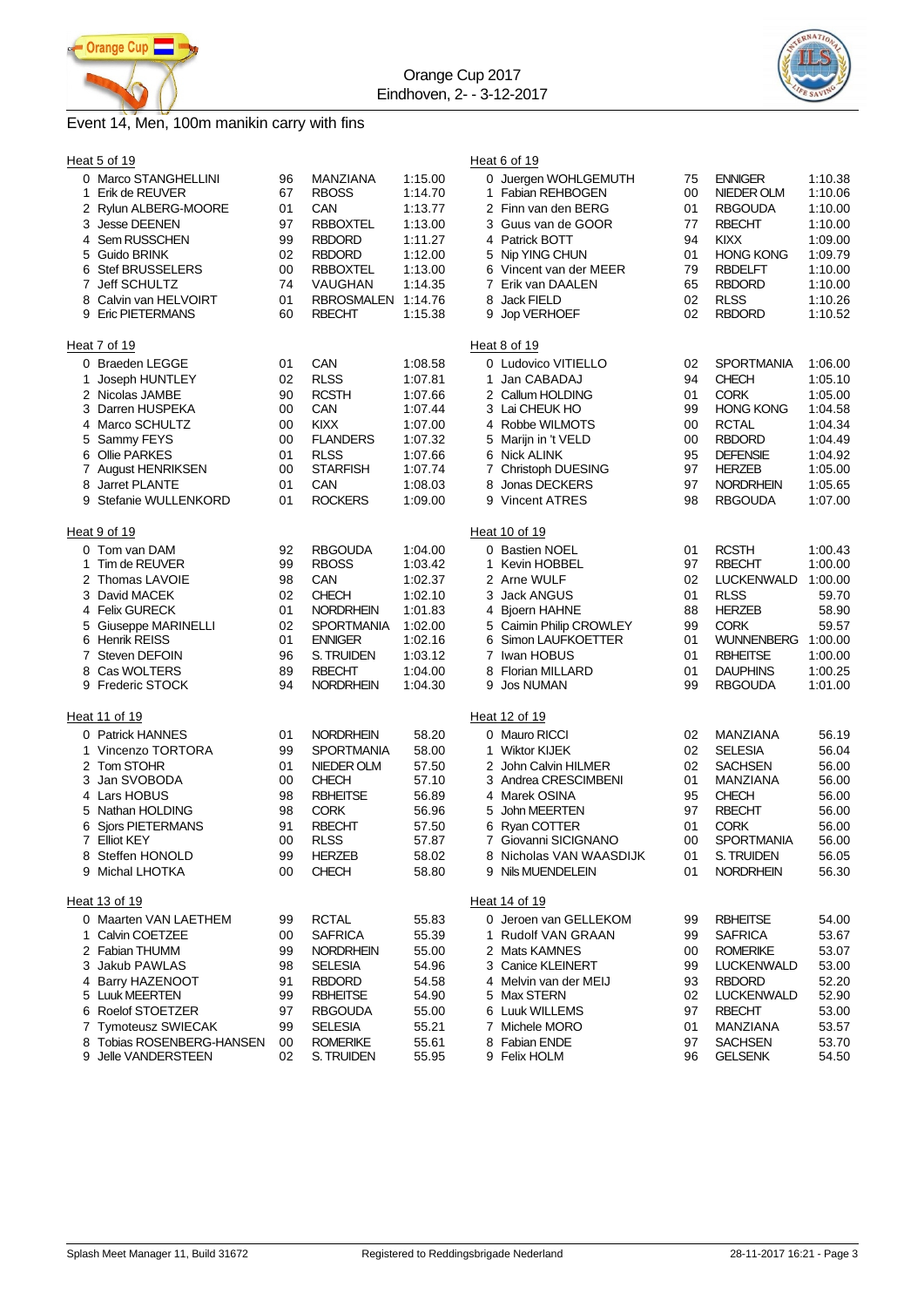



# Event 14, Men, 100m manikin carry with fins

|   | Heat 5 of 19                           |          |                     |                    | Heat 6 of 19                              |          |                                 |                    |
|---|----------------------------------------|----------|---------------------|--------------------|-------------------------------------------|----------|---------------------------------|--------------------|
|   | 0 Marco STANGHELLINI                   | 96<br>67 | MANZIANA            | 1:15.00            | 0 Juergen WOHLGEMUTH<br>1 Fabian REHBOGEN | 75       | <b>ENNIGER</b>                  | 1:10.38            |
| 1 | Erik de REUVER<br>2 Rylun ALBERG-MOORE | 01       | <b>RBOSS</b><br>CAN | 1:14.70            | 2 Finn van den BERG                       | 00<br>01 | NIEDER OLM                      | 1:10.06            |
| 3 | <b>Jesse DEENEN</b>                    | 97       | <b>RBBOXTEL</b>     | 1:13.77<br>1:13.00 | 3 Guus van de GOOR                        | 77       | <b>RBGOUDA</b><br><b>RBECHT</b> | 1:10.00<br>1:10.00 |
| 4 | Sem RUSSCHEN                           | 99       | <b>RBDORD</b>       | 1:11.27            | 4 Patrick BOTT                            | 94       | <b>KIXX</b>                     | 1:09.00            |
|   | 5 Guido BRINK                          | 02       | <b>RBDORD</b>       | 1:12.00            | 5 Nip YING CHUN                           | 01       | <b>HONG KONG</b>                | 1:09.79            |
| 6 | <b>Stef BRUSSELERS</b>                 | 00       | <b>RBBOXTEL</b>     | 1:13.00            | 6 Vincent van der MEER                    | 79       | <b>RBDELFT</b>                  | 1:10.00            |
| 7 | Jeff SCHULTZ                           | 74       | VAUGHAN             | 1:14.35            | 7 Erik van DAALEN                         | 65       | <b>RBDORD</b>                   | 1:10.00            |
|   | 8 Calvin van HELVOIRT                  | 01       | <b>RBROSMALEN</b>   | 1:14.76            | 8 Jack FIELD                              | 02       | <b>RLSS</b>                     | 1:10.26            |
|   | 9 Eric PIETERMANS                      | 60       | <b>RBECHT</b>       | 1:15.38            | 9<br>Jop VERHOEF                          | 02       | <b>RBDORD</b>                   | 1:10.52            |
|   |                                        |          |                     |                    |                                           |          |                                 |                    |
|   | Heat 7 of 19                           |          |                     |                    | Heat 8 of 19                              |          |                                 |                    |
|   | 0 Braeden LEGGE                        | 01       | CAN                 | 1:08.58            | 0 Ludovico VITIELLO                       | 02       | <b>SPORTMANIA</b>               | 1:06.00            |
| 1 | Joseph HUNTLEY                         | 02       | <b>RLSS</b>         | 1:07.81            | 1 Jan CABADAJ                             | 94       | <b>CHECH</b>                    | 1:05.10            |
|   | 2 Nicolas JAMBE                        | 90       | <b>RCSTH</b>        | 1:07.66            | 2 Callum HOLDING                          | 01       | <b>CORK</b>                     | 1:05.00            |
|   | 3 Darren HUSPEKA                       | 00       | CAN                 | 1:07.44            | 3 Lai CHEUK HO                            | 99       | <b>HONG KONG</b>                | 1:04.58            |
| 4 | Marco SCHULTZ                          | 00       | KIXX                | 1:07.00            | 4 Robbe WILMOTS                           | 00       | <b>RCTAL</b>                    | 1:04.34            |
| 5 | Sammy FEYS                             | 00       | <b>FLANDERS</b>     | 1:07.32            | 5 Marijn in 't VELD                       | 00       | <b>RBDORD</b>                   | 1:04.49            |
| 6 | Ollie PARKES                           | 01       | <b>RLSS</b>         | 1:07.66            | 6<br>Nick ALINK                           | 95       | <b>DEFENSIE</b>                 | 1:04.92            |
|   | 7 August HENRIKSEN                     | 00       | <b>STARFISH</b>     | 1:07.74            | 7 Christoph DUESING                       | 97       | <b>HERZEB</b>                   | 1:05.00            |
| 8 | Jarret PLANTE                          | 01       | CAN                 | 1:08.03            | Jonas DECKERS<br>8                        | 97       | <b>NORDRHEIN</b>                | 1:05.65            |
| 9 | Stefanie WULLENKORD                    | 01       | <b>ROCKERS</b>      | 1:09.00            | 9 Vincent ATRES                           | 98       | <b>RBGOUDA</b>                  | 1:07.00            |
|   | Heat 9 of 19                           |          |                     |                    | Heat 10 of 19                             |          |                                 |                    |
|   | 0 Tom van DAM                          | 92       | <b>RBGOUDA</b>      | 1:04.00            | 0 Bastien NOEL                            | 01       | <b>RCSTH</b>                    | 1:00.43            |
| 1 | Tim de REUVER                          | 99       | <b>RBOSS</b>        | 1:03.42            | 1 Kevin HOBBEL                            | 97       | <b>RBECHT</b>                   | 1:00.00            |
|   | 2 Thomas LAVOIE                        | 98       | CAN                 | 1:02.37            | 2 Arne WULF                               | 02       | <b>LUCKENWALD</b>               | 1:00.00            |
|   | 3 David MACEK                          | 02       | CHECH               | 1:02.10            | 3 Jack ANGUS                              | 01       | <b>RLSS</b>                     | 59.70              |
| 4 | <b>Felix GURECK</b>                    | 01       | <b>NORDRHEIN</b>    | 1:01.83            | 4 Bjoern HAHNE                            | 88       | <b>HERZEB</b>                   | 58.90              |
|   | 5 Giuseppe MARINELLI                   | 02       | <b>SPORTMANIA</b>   | 1:02.00            | 5 Caimin Philip CROWLEY                   | 99       | <b>CORK</b>                     | 59.57              |
| 6 | <b>Henrik REISS</b>                    | 01       | <b>ENNIGER</b>      | 1:02.16            | 6<br>Simon LAUFKOETTER                    | 01       | <b>WUNNENBERG</b>               | 1:00.00            |
|   | 7 Steven DEFOIN                        | 96       | S. TRUIDEN          | 1:03.12            | 7 Iwan HOBUS                              | 01       | <b>RBHEITSE</b>                 | 1:00.00            |
| 8 | Cas WOLTERS                            | 89       | <b>RBECHT</b>       | 1:04.00            | 8 Florian MILLARD                         | 01       | <b>DAUPHINS</b>                 | 1:00.25            |
|   | 9 Frederic STOCK                       | 94       | <b>NORDRHEIN</b>    | 1:04.30            | 9<br>Jos NUMAN                            | 99       | <b>RBGOUDA</b>                  | 1:01.00            |
|   | Heat 11 of 19                          |          |                     |                    | Heat 12 of 19                             |          |                                 |                    |
|   | 0 Patrick HANNES                       | 01       | <b>NORDRHEIN</b>    | 58.20              | 0 Mauro RICCI                             | 02       | MANZIANA                        | 56.19              |
| 1 | Vincenzo TORTORA                       | 99       | <b>SPORTMANIA</b>   | 58.00              | 1 Wiktor KIJEK                            | 02       | <b>SELESIA</b>                  | 56.04              |
|   | 2 Tom STOHR                            | 01       | NIEDER OLM          | 57.50              | 2 John Calvin HILMER                      | 02       | <b>SACHSEN</b>                  | 56.00              |
| 3 | Jan SVOBODA                            | 00       | <b>CHECH</b>        | 57.10              | 3 Andrea CRESCIMBENI                      | 01       | MANZIANA                        | 56.00              |
|   | 4 Lars HOBUS                           | 98       | <b>RBHEITSE</b>     | 56.89              | 4 Marek OSINA                             | 95       | <b>CHECH</b>                    | 56.00              |
|   | 5 Nathan HOLDING                       | 98       | <b>CORK</b>         | 56.96              | 5 John MEERTEN                            | 97       | <b>RBECHT</b>                   | 56.00              |
| 6 | Sjors PIETERMANS                       | 91       | <b>RBECHT</b>       | 57.50              | Ryan COTTER<br>6                          | 01       | <b>CORK</b>                     | 56.00              |
|   | 7 Elliot KEY                           | 00       | <b>RLSS</b>         | 57.87              | 7 Giovanni SICIGNANO                      | 00       | <b>SPORTMANIA</b>               | 56.00              |
|   | 8 Steffen HONOLD                       | 99       | <b>HERZEB</b>       | 58.02              | 8 Nicholas VAN WAASDIJK                   | 01       | S. TRUIDEN                      | 56.05              |
|   | 9 Michal LHOTKA                        | 00       | <b>CHECH</b>        | 58.80              | 9 Nils MUENDELEIN                         | 01       | <b>NORDRHEIN</b>                | 56.30              |
|   | Heat 13 of 19                          |          |                     |                    | Heat 14 of 19                             |          |                                 |                    |
|   | 0 Maarten VAN LAETHEM                  | 99       | <b>RCTAL</b>        | 55.83              | 0 Jeroen van GELLEKOM                     | 99       | <b>RBHEITSE</b>                 | 54.00              |
|   | 1 Calvin COETZEE                       | 00       | <b>SAFRICA</b>      | 55.39              | 1 Rudolf VAN GRAAN                        | 99       | <b>SAFRICA</b>                  | 53.67              |
|   | 2 Fabian THUMM                         | 99       | <b>NORDRHEIN</b>    | 55.00              | 2 Mats KAMNES                             | 00       | <b>ROMERIKE</b>                 | 53.07              |
|   | 3 Jakub PAWLAS                         | 98       | <b>SELESIA</b>      | 54.96              | 3 Canice KLEINERT                         | 99       | <b>LUCKENWALD</b>               | 53.00              |
|   | 4 Barry HAZENOOT                       | 91       | <b>RBDORD</b>       | 54.58              | 4 Melvin van der MEIJ                     | 93       | <b>RBDORD</b>                   | 52.20              |
|   | 5 Luuk MEERTEN                         | 99       | <b>RBHEITSE</b>     | 54.90              | 5 Max STERN                               | 02       | <b>LUCKENWALD</b>               | 52.90              |
|   | 6 Roelof STOETZER                      | 97       | <b>RBGOUDA</b>      | 55.00              | 6 Luuk WILLEMS                            | 97       | <b>RBECHT</b>                   | 53.00              |
|   | 7 Tymoteusz SWIECAK                    | 99       | <b>SELESIA</b>      | 55.21              | 7 Michele MORO                            | 01       | MANZIANA                        | 53.57              |
|   | 8 Tobias ROSENBERG-HANSEN              | 00       | <b>ROMERIKE</b>     | 55.61              | 8 Fabian ENDE                             | 97       | <b>SACHSEN</b>                  | 53.70              |
|   | 9 Jelle VANDERSTEEN                    | 02       | S. TRUIDEN          | 55.95              | 9 Felix HOLM                              | 96       | <b>GELSENK</b>                  | 54.50              |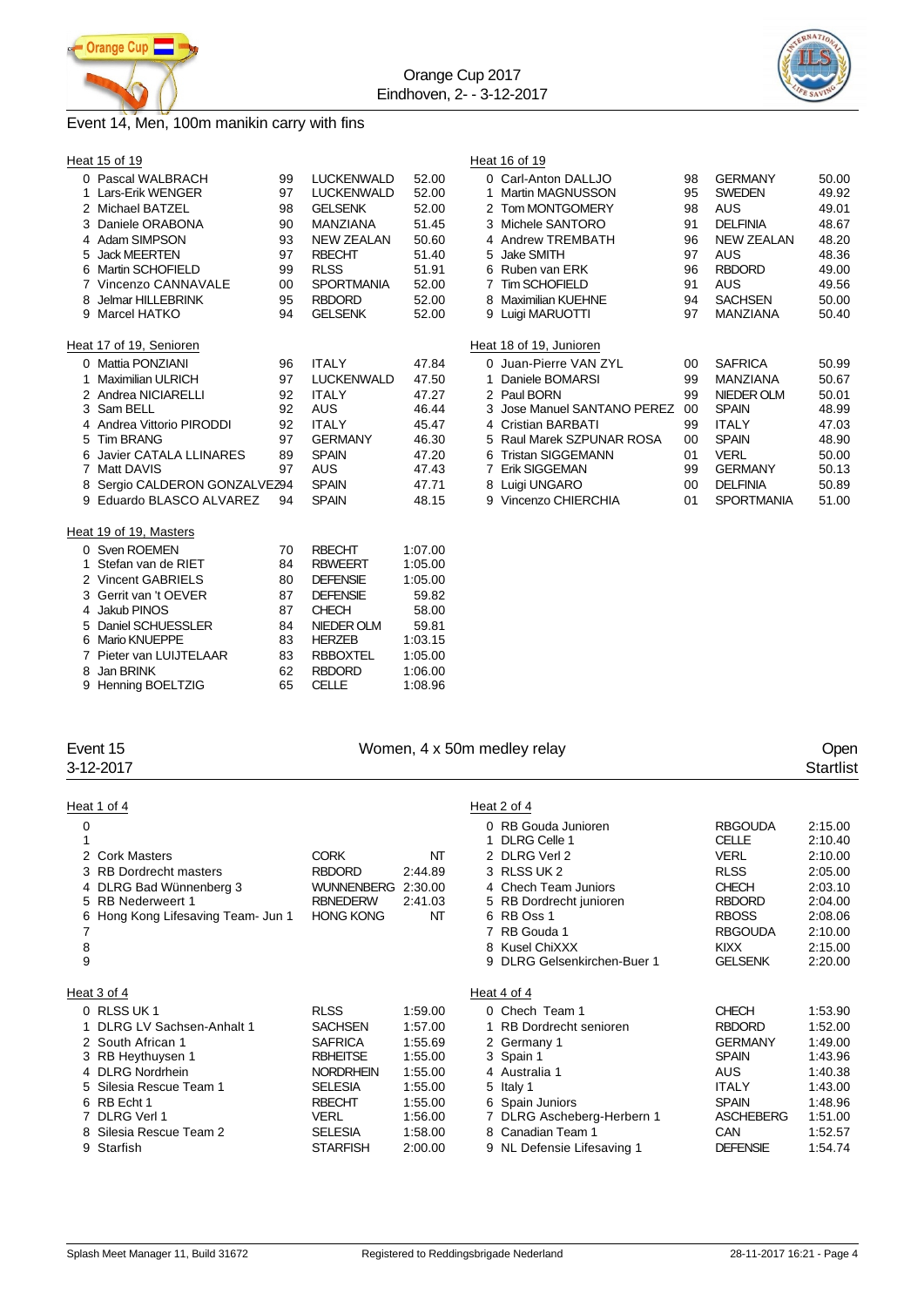



### Event 14, Men, 100m manikin carry with fins

|    | Heat 15 of 19                 |    |                   |         | Heat 16 of 19           |
|----|-------------------------------|----|-------------------|---------|-------------------------|
|    | 0 Pascal WALBRACH             | 99 | <b>LUCKENWALD</b> | 52.00   | 0 Carl-Anton DALL,      |
|    | 1 Lars-Erik WENGER            | 97 | <b>LUCKENWALD</b> | 52.00   | 1 Martin MAGNUSS        |
|    | 2 Michael BATZEL              | 98 | <b>GELSENK</b>    | 52.00   | 2 Tom MONTGOME          |
|    | 3 Daniele ORABONA             | 90 | <b>MANZIANA</b>   | 51.45   | 3 Michele SANTOR        |
|    | 4 Adam SIMPSON                | 93 | <b>NEW ZEALAN</b> | 50.60   | 4 Andrew TREMBA         |
|    | 5 Jack MEERTEN                | 97 | <b>RBECHT</b>     | 51.40   | 5 Jake SMITH            |
|    | 6 Martin SCHOFIELD            | 99 | <b>RLSS</b>       | 51.91   | 6 Ruben van ERK         |
|    | 7 Vincenzo CANNAVALE          | 00 | <b>SPORTMANIA</b> | 52.00   | 7 Tim SCHOFIELD         |
|    | 8 Jelmar HILLEBRINK           | 95 | <b>RBDORD</b>     | 52.00   | 8 Maximilian KUEHN      |
|    | 9 Marcel HATKO                | 94 | <b>GELSENK</b>    | 52.00   | 9 Luigi MARUOTTI        |
|    | Heat 17 of 19, Senioren       |    |                   |         | Heat 18 of 19, Junioren |
|    | 0 Mattia PONZIANI             | 96 | <b>ITALY</b>      | 47.84   | 0 Juan-Pierre VAN       |
| 1. | <b>Maximilian ULRICH</b>      | 97 | <b>LUCKENWALD</b> | 47.50   | Daniele BOMARSI<br>1.   |
|    | 2 Andrea NICIARELLI           | 92 | <b>ITALY</b>      | 47.27   | 2 Paul BORN             |
|    | 3 Sam BELL                    | 92 | AUS               | 46.44   | 3 Jose Manuel SAN       |
|    | 4 Andrea Vittorio PIRODDI     | 92 | <b>ITALY</b>      | 45.47   | 4 Cristian BARBATI      |
|    | 5 Tim BRANG                   | 97 | <b>GERMANY</b>    | 46.30   | 5 Raul Marek SZPU       |
|    | 6 Javier CATALA LLINARES      | 89 | <b>SPAIN</b>      | 47.20   | 6 Tristan SIGGEMAI      |
|    | 7 Matt DAVIS                  | 97 | <b>AUS</b>        | 47.43   | 7 Erik SIGGEMAN         |
|    | 8 Sergio CALDERON GONZALVEZ94 |    | <b>SPAIN</b>      | 47.71   | 8 Luigi UNGARO          |
|    | 9 Eduardo BLASCO ALVAREZ      | 94 | <b>SPAIN</b>      | 48.15   | 9 Vincenzo CHIERC       |
|    | Heat 19 of 19, Masters        |    |                   |         |                         |
|    | 0 Sven ROEMEN                 | 70 | <b>RBECHT</b>     | 1:07.00 |                         |
|    | 1 Stefan van de RIET          | 84 | <b>RBWEERT</b>    | 1:05.00 |                         |
|    | 2 Vincent GABRIELS            | 80 | <b>DEFENSIE</b>   | 1:05.00 |                         |
|    | 3 Gerrit van 't OEVER         | 87 | <b>DEFENSIE</b>   | 59.82   |                         |
|    | 4 Jakub PINOS                 | 87 | <b>CHECH</b>      | 58.00   |                         |
|    | 5 Daniel SCHUESSLER           | 84 | <b>NIEDER OLM</b> | 59.81   |                         |
|    | 6 Mario KNUEPPE               | 83 | <b>HERZEB</b>     | 1:03.15 |                         |
|    | 7 Pieter van LUIJTELAAR       | 83 | <b>RBBOXTEL</b>   | 1:05.00 |                         |
| 8  | Jan BRINK                     | 62 | <b>RBDORD</b>     | 1:06.00 |                         |
|    | 9 Henning BOELTZIG            | 65 | <b>CELLE</b>      | 1:08.96 |                         |
|    |                               |    |                   |         |                         |

| 0 Pascal WALBRACH             | 99     | LUCKENWALD        | 52.00 |    | 0 Carl-Anton DALLJO         | 98 | <b>GERMANY</b>    | 50.00 |
|-------------------------------|--------|-------------------|-------|----|-----------------------------|----|-------------------|-------|
| 1 Lars-Erik WENGER            | 97     | <b>LUCKENWALD</b> | 52.00 |    | <b>Martin MAGNUSSON</b>     | 95 | <b>SWEDEN</b>     | 49.92 |
| 2 Michael BATZEL              | 98     | <b>GELSENK</b>    | 52.00 |    | 2 Tom MONTGOMERY            | 98 | AUS               | 49.01 |
| 3 Daniele ORABONA             | 90     | <b>MANZIANA</b>   | 51.45 |    | 3 Michele SANTORO           | 91 | <b>DELFINIA</b>   | 48.67 |
| 4 Adam SIMPSON                | 93     | <b>NEW ZEALAN</b> | 50.60 |    | 4 Andrew TREMBATH           | 96 | <b>NEW ZEALAN</b> | 48.20 |
| 5 Jack MEERTEN                | 97     | <b>RBECHT</b>     | 51.40 | 5. | Jake SMITH                  | 97 | <b>AUS</b>        | 48.36 |
| 6 Martin SCHOFIELD            | 99     | <b>RLSS</b>       | 51.91 |    | 6 Ruben van ERK             | 96 | <b>RBDORD</b>     | 49.00 |
| 7 Vincenzo CANNAVALE          | $00\,$ | <b>SPORTMANIA</b> | 52.00 |    | Tim SCHOFIELD               | 91 | <b>AUS</b>        | 49.56 |
| 8 Jelmar HILLEBRINK           | 95     | <b>RBDORD</b>     | 52.00 | 8  | <b>Maximilian KUEHNE</b>    | 94 | <b>SACHSEN</b>    | 50.00 |
| 9 Marcel HATKO                | 94     | <b>GELSENK</b>    | 52.00 |    | 9 Luigi MARUOTTI            | 97 | MANZIANA          | 50.40 |
|                               |        |                   |       |    |                             |    |                   |       |
| at 17 of 19, Senioren         |        |                   |       |    | Heat 18 of 19, Junioren     |    |                   |       |
| 0 Mattia PONZIANI             | 96     | <b>ITALY</b>      | 47.84 |    | 0 Juan-Pierre VAN ZYL       | 00 | <b>SAFRICA</b>    | 50.99 |
| 1 Maximilian ULRICH           | 97     | <b>LUCKENWALD</b> | 47.50 |    | Daniele BOMARSI             | 99 | MANZIANA          | 50.67 |
| 2 Andrea NICIARELLI           | 92     | <b>ITALY</b>      | 47.27 |    | 2 Paul BORN                 | 99 | NIEDER OLM        | 50.01 |
| 3 Sam BELL                    | 92     | AUS               | 46.44 |    | 3 Jose Manuel SANTANO PEREZ | 00 | <b>SPAIN</b>      | 48.99 |
| 4 Andrea Vittorio PIRODDI     | 92     | <b>ITALY</b>      | 45.47 |    | 4 Cristian BARBATI          | 99 | <b>ITALY</b>      | 47.03 |
| 5 Tim BRANG                   | 97     | <b>GERMANY</b>    | 46.30 |    | 5 Raul Marek SZPUNAR ROSA   | 00 | <b>SPAIN</b>      | 48.90 |
|                               |        |                   |       |    |                             |    |                   |       |
| 6 Javier CATALA LLINARES      | 89     | <b>SPAIN</b>      | 47.20 | 6  | <b>Tristan SIGGEMANN</b>    | 01 | <b>VERL</b>       | 50.00 |
| 7 Matt DAVIS                  | 97     | <b>AUS</b>        | 47.43 |    | Erik SIGGEMAN               | 99 | <b>GERMANY</b>    | 50.13 |
| 8 Sergio CALDERON GONZALVEZ94 |        | <b>SPAIN</b>      | 47.71 |    | 8 Luigi UNGARO              | 00 | <b>DELFINIA</b>   | 50.89 |

| Event 15 | Women, 4 x 50m medley relay | Oper |
|----------|-----------------------------|------|
|          |                             |      |

# 3-12-2017 Startlist

| <b>RBGOUDA</b><br>2:15.00<br>2:10.40<br>2:10.00<br>2:05.00<br><b>CHECH</b><br>2:03.10<br><b>RBDORD</b><br>2:04.00<br><b>RBOSS</b><br>2:08.06<br><b>RBGOUDA</b><br>2:10.00<br>2:15.00<br>2:20.00<br><b>GELSENK</b> |
|-------------------------------------------------------------------------------------------------------------------------------------------------------------------------------------------------------------------|
|                                                                                                                                                                                                                   |
| <b>CHECH</b><br>1:53.90<br><b>RBDORD</b><br>1:52.00<br><b>GERMANY</b><br>1:49.00<br>1:43.96<br>1:40.38<br>1:43.00<br>1:48.96<br><b>ASCHEBERG</b><br>1:51.00<br>1:52.57<br><b>DEFENSIE</b><br>1:54.74              |
|                                                                                                                                                                                                                   |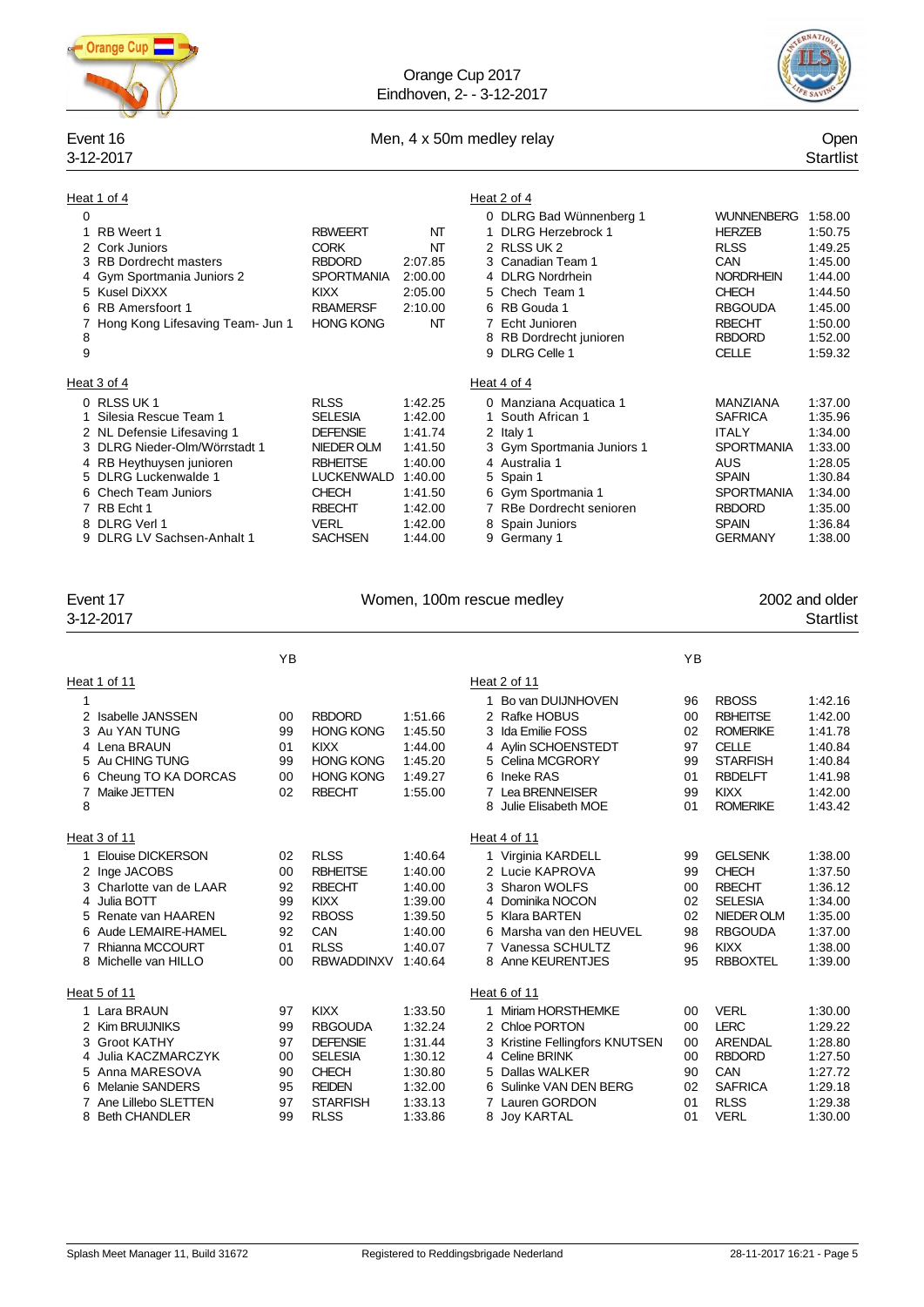

### Orange Cup 2017 Eindhoven, 2- - 3-12-2017



### Event 16 Communication of Men, 4 x 50m medley relay Communication of the Copen Copen

# 3-12-2017 Startlist

| Heat 1 of 4<br>0<br>RB Weert 1<br>1<br>2 Cork Juniors<br>3 RB Dordrecht masters<br>4 Gym Sportmania Juniors 2<br>5 Kusel DiXXX<br>6 RB Amersfoort 1<br>Hong Kong Lifesaving Team- Jun 1<br>7                                                    |    | <b>RBWEERT</b><br><b>CORK</b><br><b>RBDORD</b><br><b>SPORTMANIA</b><br><b>KIXX</b><br><b>RBAMERSF</b><br><b>HONG KONG</b>                                                | NT<br>NΤ<br>2:07.85<br>2:00.00<br>2:05.00<br>2:10.00<br>NT                                                 | Heat 2 of 4<br>0 DLRG Bad Wünnenberg 1<br>1 DLRG Herzebrock 1<br>2 RLSS UK 2<br>3 Canadian Team 1<br>4 DLRG Nordrhein<br>5 Chech Team 1<br>6 RB Gouda 1<br>7 Echt Junioren                               |          | WUNNENBERG 1:58.00<br><b>HERZEB</b><br><b>RLSS</b><br>CAN<br><b>NORDRHEIN</b><br><b>CHECH</b><br><b>RBGOUDA</b><br><b>RBECHT</b>                               | 1:50.75<br>1:49.25<br>1:45.00<br>1.44.00<br>1:44.50<br>1:45.00<br>1:50.00                                  |
|-------------------------------------------------------------------------------------------------------------------------------------------------------------------------------------------------------------------------------------------------|----|--------------------------------------------------------------------------------------------------------------------------------------------------------------------------|------------------------------------------------------------------------------------------------------------|----------------------------------------------------------------------------------------------------------------------------------------------------------------------------------------------------------|----------|----------------------------------------------------------------------------------------------------------------------------------------------------------------|------------------------------------------------------------------------------------------------------------|
| 8<br>9                                                                                                                                                                                                                                          |    |                                                                                                                                                                          |                                                                                                            | 8 RB Dordrecht junioren<br>9 DLRG Celle 1                                                                                                                                                                |          | <b>RBDORD</b><br><b>CELLE</b>                                                                                                                                  | 1:52.00<br>1:59.32                                                                                         |
| Heat 3 of 4                                                                                                                                                                                                                                     |    |                                                                                                                                                                          |                                                                                                            | Heat 4 of 4                                                                                                                                                                                              |          |                                                                                                                                                                |                                                                                                            |
| 0 RLSS UK 1<br>1 Silesia Rescue Team 1<br>2 NL Defensie Lifesaving 1<br>3 DLRG Nieder-Olm/Wörrstadt 1<br>4 RB Heythuysen junioren<br>5 DLRG Luckenwalde 1<br>6 Chech Team Juniors<br>7 RB Echt 1<br>8 DLRG Verl 1<br>9 DLRG LV Sachsen-Anhalt 1 |    | <b>RLSS</b><br><b>SELESIA</b><br><b>DEFENSIE</b><br>NIEDER OLM<br><b>RBHEITSE</b><br><b>LUCKENWALD</b><br><b>CHECH</b><br><b>RBECHT</b><br><b>VERL</b><br><b>SACHSEN</b> | 1:42.25<br>1:42.00<br>1:41.74<br>1:41.50<br>1:40.00<br>1:40.00<br>1:41.50<br>1:42.00<br>1:42.00<br>1:44.00 | 0 Manziana Acquatica 1<br>1 South African 1<br>2 Italy 1<br>3 Gym Sportmania Juniors 1<br>4 Australia 1<br>5 Spain 1<br>6 Gym Sportmania 1<br>7 RBe Dordrecht senioren<br>8 Spain Juniors<br>9 Germany 1 |          | MANZIANA<br><b>SAFRICA</b><br><b>ITALY</b><br><b>SPORTMANIA</b><br>AUS<br><b>SPAIN</b><br><b>SPORTMANIA</b><br><b>RBDORD</b><br><b>SPAIN</b><br><b>GERMANY</b> | 1:37.00<br>1:35.96<br>1:34.00<br>1:33.00<br>1:28.05<br>1:30.84<br>1:34.00<br>1:35.00<br>1:36.84<br>1:38.00 |
| Event 17<br>3-12-2017                                                                                                                                                                                                                           |    |                                                                                                                                                                          |                                                                                                            | Women, 100m rescue medley                                                                                                                                                                                |          |                                                                                                                                                                | 2002 and older<br><b>Startlist</b>                                                                         |
|                                                                                                                                                                                                                                                 | YB |                                                                                                                                                                          |                                                                                                            |                                                                                                                                                                                                          | YB       |                                                                                                                                                                |                                                                                                            |
| Heat 1 of 11                                                                                                                                                                                                                                    |    |                                                                                                                                                                          |                                                                                                            | Heat 2 of 11                                                                                                                                                                                             |          |                                                                                                                                                                |                                                                                                            |
| 1                                                                                                                                                                                                                                               |    |                                                                                                                                                                          |                                                                                                            | 1 Bo van DUIJNHOVEN                                                                                                                                                                                      | 96       | <b>RBOSS</b>                                                                                                                                                   | 1:42.16                                                                                                    |
| 2 Isabelle JANSSEN                                                                                                                                                                                                                              | 00 | <b>RBDORD</b>                                                                                                                                                            | 1:51.66                                                                                                    | 2 Rafke HOBUS                                                                                                                                                                                            | 00       | <b>RBHEITSE</b>                                                                                                                                                | 1:42.00                                                                                                    |
| 3 Au YAN TUNG                                                                                                                                                                                                                                   | 99 | <b>HONG KONG</b>                                                                                                                                                         | 1:45.50                                                                                                    | 3 Ida Emilie FOSS                                                                                                                                                                                        | 02       | <b>ROMERIKE</b>                                                                                                                                                | 1:41.78                                                                                                    |
| 4 Lena BRAUN                                                                                                                                                                                                                                    | 01 | <b>KIXX</b>                                                                                                                                                              | 1:44.00                                                                                                    | 4 Aylin SCHOENSTEDT                                                                                                                                                                                      | 97       | <b>CELLE</b>                                                                                                                                                   | 1:40.84                                                                                                    |
| 5 Au CHING TUNG                                                                                                                                                                                                                                 | 99 | <b>HONG KONG</b>                                                                                                                                                         | 1:45.20                                                                                                    | 5 Celina MCGRORY                                                                                                                                                                                         | 99       | <b>STARFISH</b>                                                                                                                                                | 1:40.84                                                                                                    |
| 6 Cheung TO KA DORCAS<br>7 Maike JETTEN                                                                                                                                                                                                         | 00 | <b>HONG KONG</b>                                                                                                                                                         | 1:49.27                                                                                                    | 6 Ineke RAS                                                                                                                                                                                              | 01       | <b>RBDELFT</b>                                                                                                                                                 | 1:41.98                                                                                                    |
| 8                                                                                                                                                                                                                                               | 02 | <b>RBECHT</b>                                                                                                                                                            | 1:55.00                                                                                                    | 7 Lea BRENNEISER<br>8 Julie Elisabeth MOE                                                                                                                                                                | 99<br>01 | <b>KIXX</b><br><b>ROMERIKE</b>                                                                                                                                 | 1:42.00<br>1.43.42                                                                                         |
| Heat 3 of 11                                                                                                                                                                                                                                    |    |                                                                                                                                                                          |                                                                                                            | Heat 4 of 11                                                                                                                                                                                             |          |                                                                                                                                                                |                                                                                                            |
| 1 Elouise DICKERSON                                                                                                                                                                                                                             | 02 | <b>RLSS</b>                                                                                                                                                              | 1:40.64                                                                                                    | 1 Virginia KARDELL                                                                                                                                                                                       | 99       | <b>GELSENK</b>                                                                                                                                                 | 1:38.00                                                                                                    |
| 2 Inge JACOBS                                                                                                                                                                                                                                   | 00 | <b>RBHEITSE</b>                                                                                                                                                          | 1:40.00                                                                                                    | 2 Lucie KAPROVA                                                                                                                                                                                          |          | 99 CHECH                                                                                                                                                       | 1:37.50                                                                                                    |
| 3 Charlotte van de LAAR                                                                                                                                                                                                                         | 92 | <b>RBECHT</b>                                                                                                                                                            | 1:40.00                                                                                                    | 3 Sharon WOLFS                                                                                                                                                                                           | 00       | <b>RBECHT</b>                                                                                                                                                  | 1:36.12                                                                                                    |
| 4 Julia BOTT                                                                                                                                                                                                                                    | 99 | <b>KIXX</b>                                                                                                                                                              | 1:39.00                                                                                                    | 4 Dominika NOCON                                                                                                                                                                                         | 02       | <b>SELESIA</b>                                                                                                                                                 | 1:34.00                                                                                                    |
| 5 Renate van HAAREN                                                                                                                                                                                                                             | 92 | <b>RBOSS</b>                                                                                                                                                             | 1:39.50                                                                                                    | 5 Klara BARTEN                                                                                                                                                                                           | 02       | NIEDER OLM                                                                                                                                                     | 1:35.00                                                                                                    |
| 6 Aude LEMAIRE-HAMEL                                                                                                                                                                                                                            | 92 | CAN                                                                                                                                                                      | 1:40.00                                                                                                    | 6 Marsha van den HEUVEL                                                                                                                                                                                  | 98       | <b>RBGOUDA</b>                                                                                                                                                 | 1:37.00                                                                                                    |
| 7 Rhianna MCCOURT                                                                                                                                                                                                                               | 01 | <b>RLSS</b>                                                                                                                                                              | 1:40.07                                                                                                    | 7 Vanessa SCHULTZ                                                                                                                                                                                        | 96       | <b>KIXX</b>                                                                                                                                                    | 1:38.00                                                                                                    |
| 8 Michelle van HILLO                                                                                                                                                                                                                            | 00 | RBWADDINXV 1:40.64                                                                                                                                                       |                                                                                                            | 8 Anne KEURENTJES                                                                                                                                                                                        | 95       | <b>RBBOXTEL</b>                                                                                                                                                | 1:39.00                                                                                                    |
| Heat 5 of 11                                                                                                                                                                                                                                    |    |                                                                                                                                                                          |                                                                                                            | Heat 6 of 11                                                                                                                                                                                             |          |                                                                                                                                                                |                                                                                                            |
| 1 Lara BRAUN                                                                                                                                                                                                                                    | 97 | <b>KIXX</b>                                                                                                                                                              | 1:33.50                                                                                                    | 1 Miriam HORSTHEMKE                                                                                                                                                                                      | 00       | <b>VERL</b>                                                                                                                                                    | 1:30.00                                                                                                    |
| 2 Kim BRUIJNIKS                                                                                                                                                                                                                                 | 99 | <b>RBGOUDA</b>                                                                                                                                                           | 1:32.24                                                                                                    | 2 Chloe PORTON                                                                                                                                                                                           | 00       | <b>LERC</b>                                                                                                                                                    | 1:29.22                                                                                                    |
| 3 Groot KATHY                                                                                                                                                                                                                                   | 97 | <b>DEFENSIE</b>                                                                                                                                                          | 1:31.44                                                                                                    | 3 Kristine Fellingfors KNUTSEN                                                                                                                                                                           |          | 00 ARENDAL                                                                                                                                                     | 1:28.80                                                                                                    |

4 Julia KACZMARCZYK

Anna MARESOVA 90 CHECH 1:30.80 5 Dallas WALKER 90 CAN 1:27.72

Ane Lillebo SLETTEN 97 STARFISH 1:33.13 7 Lauren GORDON 01 RLSS 1:29.38

37 DEFENSIE 1:31.44 3 Kristine Fellingfors KNUTSEN 00 ARENDAL 1:28.80<br>00 SELESIA 1:30.12 4 Celine BRINK 00 RBDORD 1:27.50

95 REIDEN 1:32.00 6 Sulinke VAN DEN BERG 02 SAFRICA 1:29.18<br>97 STARFISH 1:33.13 7 Lauren GORDON 01 RLSS 1:29.38

8 Joy KARTAL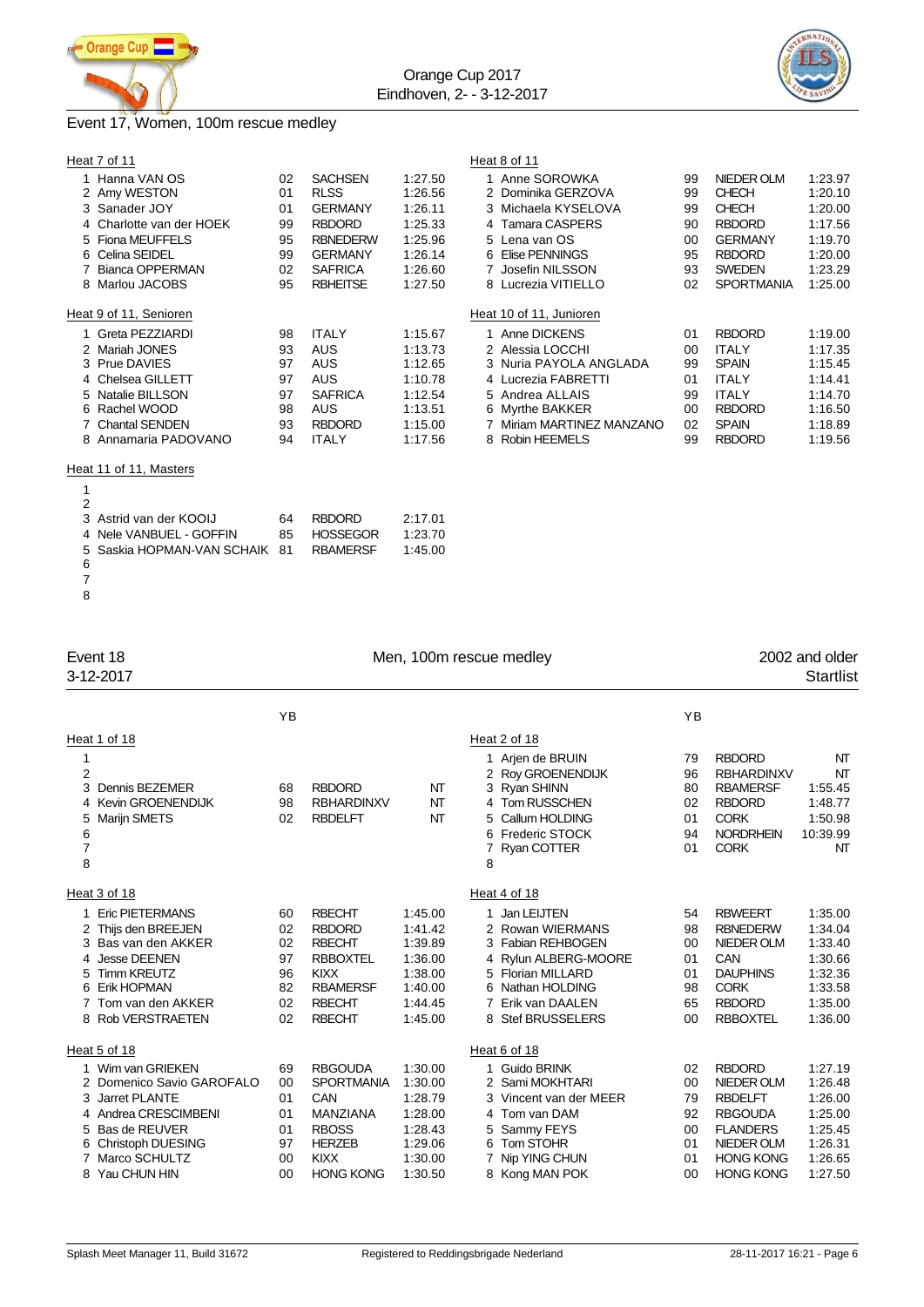



# Event 17, Women, 100m rescue medley

| Heat 7 of 11                                                                                                                                                    |                                              |                                                                                                                                            |                                                                                      | Heat 8 of 11                                                                                                                                                     |                                              |                                                                                                                                      |                                                                                      |
|-----------------------------------------------------------------------------------------------------------------------------------------------------------------|----------------------------------------------|--------------------------------------------------------------------------------------------------------------------------------------------|--------------------------------------------------------------------------------------|------------------------------------------------------------------------------------------------------------------------------------------------------------------|----------------------------------------------|--------------------------------------------------------------------------------------------------------------------------------------|--------------------------------------------------------------------------------------|
| 1 Hanna VAN OS<br>2 Amy WESTON<br>3 Sanader JOY<br>4 Charlotte van der HOEK<br>5 Fiona MEUFFELS<br>6 Celina SEIDEL<br><b>Bianca OPPERMAN</b><br>8 Marlou JACOBS | 02<br>01<br>01<br>99<br>95<br>99<br>02<br>95 | <b>SACHSEN</b><br><b>RLSS</b><br><b>GERMANY</b><br><b>RBDORD</b><br><b>RBNEDERW</b><br><b>GERMANY</b><br><b>SAFRICA</b><br><b>RBHEITSE</b> | 1:27.50<br>1:26.56<br>1:26.11<br>1:25.33<br>1:25.96<br>1:26.14<br>1:26.60<br>1:27.50 | 1 Anne SOROWKA<br>2 Dominika GERZOVA<br>3 Michaela KYSELOVA<br>4 Tamara CASPERS<br>5 Lena van OS<br>6 Elise PENNINGS<br>7 Josefin NILSSON<br>8 Lucrezia VITIELLO | 99<br>99<br>99<br>90<br>00<br>95<br>93<br>02 | NIEDER OLM<br><b>CHECH</b><br><b>CHECH</b><br><b>RBDORD</b><br><b>GERMANY</b><br><b>RBDORD</b><br><b>SWEDEN</b><br><b>SPORTMANIA</b> | 1:23.97<br>1:20.10<br>1:20.00<br>1:17.56<br>1:19.70<br>1:20.00<br>1:23.29<br>1:25.00 |
| Heat 9 of 11, Senioren                                                                                                                                          |                                              |                                                                                                                                            |                                                                                      | Heat 10 of 11, Junioren                                                                                                                                          |                                              |                                                                                                                                      |                                                                                      |
| 1 Greta PEZZIARDI                                                                                                                                               | 98                                           | <b>ITALY</b>                                                                                                                               | 1:15.67                                                                              | 1 Anne DICKENS                                                                                                                                                   | 01                                           | <b>RBDORD</b>                                                                                                                        | 1:19.00                                                                              |
| 2 Mariah JONES                                                                                                                                                  | 93                                           | <b>AUS</b>                                                                                                                                 | 1:13.73                                                                              | 2 Alessia LOCCHI                                                                                                                                                 | $00 \,$                                      | <b>ITALY</b>                                                                                                                         | 1:17.35                                                                              |
| 3 Prue DAVIES                                                                                                                                                   | 97                                           | <b>AUS</b>                                                                                                                                 | 1:12.65                                                                              | 3 Nuria PAYOLA ANGLADA                                                                                                                                           | 99                                           | <b>SPAIN</b>                                                                                                                         | 1:15.45                                                                              |
| 4 Chelsea GILLETT                                                                                                                                               | 97                                           | <b>AUS</b>                                                                                                                                 | 1:10.78                                                                              | 4 Lucrezia FABRETTI                                                                                                                                              | 01                                           | <b>ITALY</b>                                                                                                                         | 1:14.41                                                                              |
| 5 Natalie BILLSON                                                                                                                                               | 97                                           | <b>SAFRICA</b>                                                                                                                             | 1:12.54                                                                              | 5 Andrea ALLAIS                                                                                                                                                  | 99                                           | <b>ITALY</b>                                                                                                                         | 1:14.70                                                                              |
| 6 Rachel WOOD                                                                                                                                                   | 98                                           | <b>AUS</b>                                                                                                                                 | 1:13.51                                                                              | 6 Myrthe BAKKER                                                                                                                                                  | 00                                           | <b>RBDORD</b>                                                                                                                        | 1:16.50                                                                              |
| 7 Chantal SENDEN                                                                                                                                                | 93                                           | <b>RBDORD</b>                                                                                                                              | 1:15.00                                                                              | 7 Miriam MARTINEZ MANZANO                                                                                                                                        | 02                                           | <b>SPAIN</b>                                                                                                                         | 1:18.89                                                                              |
| 8 Annamaria PADOVANO                                                                                                                                            | 94                                           | <b>ITALY</b>                                                                                                                               | 1:17.56                                                                              | 8 Robin HEEMELS                                                                                                                                                  | 99                                           | <b>RBDORD</b>                                                                                                                        | 1:19.56                                                                              |
| Heat 11 of 11, Masters                                                                                                                                          |                                              |                                                                                                                                            |                                                                                      |                                                                                                                                                                  |                                              |                                                                                                                                      |                                                                                      |
|                                                                                                                                                                 |                                              |                                                                                                                                            |                                                                                      |                                                                                                                                                                  |                                              |                                                                                                                                      |                                                                                      |
| $\overline{2}$                                                                                                                                                  |                                              |                                                                                                                                            |                                                                                      |                                                                                                                                                                  |                                              |                                                                                                                                      |                                                                                      |
|                                                                                                                                                                 |                                              |                                                                                                                                            |                                                                                      |                                                                                                                                                                  |                                              |                                                                                                                                      |                                                                                      |

|     | 3 Astrid van der KOOIJ        | 64  | <b>RBDORD</b> | 2:17.01 |
|-----|-------------------------------|-----|---------------|---------|
|     | 4 Nele VANBUEL - GOFFIN       | 85. | HOSSEGOR      | 1:23.70 |
|     | 5 Saskia HOPMAN-VAN SCHAIK 81 |     | RBAMFRSF      | 1:45.00 |
| - 6 |                               |     |               |         |
| - 7 |                               |     |               |         |

| Event 18<br>3-12-2017                                                                                                                                                        |                                              |                                                                                                                                        |                                                                                      | Men, 100m rescue medley                                                                                                                                           |                                              |                                                                                                                                          | 2002 and older<br><b>Startlist</b>                                                   |
|------------------------------------------------------------------------------------------------------------------------------------------------------------------------------|----------------------------------------------|----------------------------------------------------------------------------------------------------------------------------------------|--------------------------------------------------------------------------------------|-------------------------------------------------------------------------------------------------------------------------------------------------------------------|----------------------------------------------|------------------------------------------------------------------------------------------------------------------------------------------|--------------------------------------------------------------------------------------|
|                                                                                                                                                                              | YB                                           |                                                                                                                                        |                                                                                      |                                                                                                                                                                   | YB                                           |                                                                                                                                          |                                                                                      |
| Heat 1 of 18                                                                                                                                                                 |                                              |                                                                                                                                        |                                                                                      | Heat 2 of 18                                                                                                                                                      |                                              |                                                                                                                                          |                                                                                      |
| 1<br>$\overline{2}$<br>Dennis BEZEMER<br>3<br>Kevin GROENENDIJK<br>4<br>Marijn SMETS<br>5<br>6<br>$\overline{7}$<br>8                                                        | 68<br>98<br>02                               | <b>RBDORD</b><br><b>RBHARDINXV</b><br><b>RBDELFT</b>                                                                                   | NT<br>NT<br>NT                                                                       | 1 Arien de BRUIN<br>2 Roy GROENENDIJK<br>3 Ryan SHINN<br>4 Tom RUSSCHEN<br>5 Callum HOLDING<br>6 Frederic STOCK<br>Ryan COTTER<br>8                               | 79<br>96<br>80<br>02<br>01<br>94<br>01       | <b>RBDORD</b><br><b>RBHARDINXV</b><br><b>RBAMERSF</b><br><b>RBDORD</b><br><b>CORK</b><br><b>NORDRHEIN</b><br><b>CORK</b>                 | NΤ<br>NT<br>1:55.45<br>1:48.77<br>1:50.98<br>10:39.99<br>NT                          |
| Heat 3 of 18                                                                                                                                                                 |                                              |                                                                                                                                        |                                                                                      | Heat 4 of 18                                                                                                                                                      |                                              |                                                                                                                                          |                                                                                      |
| 1 Eric PIETERMANS<br>Thijs den BREEJEN<br>2<br>3 Bas van den AKKER<br>Jesse DEENEN<br><b>Timm KREUTZ</b><br>5.<br>Erik HOPMAN<br>6<br>Tom van den AKKER<br>8 Rob VERSTRAETEN | 60<br>02<br>02<br>97<br>96<br>82<br>02<br>02 | <b>RBECHT</b><br><b>RBDORD</b><br><b>RBECHT</b><br><b>RBBOXTEL</b><br><b>KIXX</b><br><b>RBAMERSF</b><br><b>RBECHT</b><br><b>RBECHT</b> | 1:45.00<br>1:41.42<br>1:39.89<br>1:36.00<br>1:38.00<br>1:40.00<br>1:44.45<br>1:45.00 | 1 Jan LEIJTEN<br>2 Rowan WIERMANS<br>3 Fabian REHBOGEN<br>4 Rylun ALBERG-MOORE<br>5 Florian MILLARD<br>6 Nathan HOLDING<br>7 Erik van DAALEN<br>8 Stef BRUSSELERS | 54<br>98<br>00<br>01<br>01<br>98<br>65<br>00 | <b>RBWEERT</b><br><b>RBNEDERW</b><br>NIEDER OLM<br>CAN<br><b>DAUPHINS</b><br><b>CORK</b><br><b>RBDORD</b><br><b>RBBOXTEL</b>             | 1:35.00<br>1:34.04<br>1:33.40<br>1:30.66<br>1:32.36<br>1:33.58<br>1:35.00<br>1:36.00 |
| Heat 5 of 18                                                                                                                                                                 |                                              |                                                                                                                                        |                                                                                      | Heat 6 of 18                                                                                                                                                      |                                              |                                                                                                                                          |                                                                                      |
| 1 Wim van GRIEKEN<br>2 Domenico Savio GAROFALO<br>Jarret PLANTE<br>3<br>4 Andrea CRESCIMBENI<br>Bas de REUVER<br>Christoph DUESING<br>6<br>Marco SCHULTZ<br>Yau CHUN HIN     | 69<br>00<br>01<br>01<br>01<br>97<br>00<br>00 | <b>RBGOUDA</b><br><b>SPORTMANIA</b><br>CAN<br>MANZIANA<br><b>RBOSS</b><br><b>HERZEB</b><br><b>KIXX</b><br><b>HONG KONG</b>             | 1:30.00<br>1:30.00<br>1:28.79<br>1:28.00<br>1:28.43<br>1:29.06<br>1:30.00<br>1:30.50 | 1 Guido BRINK<br>2 Sami MOKHTARI<br>3 Vincent van der MEER<br>4 Tom van DAM<br>5 Sammy FEYS<br>6 Tom STOHR<br>7 Nip YING CHUN<br>8 Kong MAN POK                   | 02<br>00<br>79<br>92<br>00<br>01<br>01<br>00 | <b>RBDORD</b><br>NIEDER OLM<br><b>RBDELFT</b><br><b>RBGOUDA</b><br><b>FLANDERS</b><br>NIEDER OLM<br><b>HONG KONG</b><br><b>HONG KONG</b> | 1:27.19<br>1:26.48<br>1:26.00<br>1:25.00<br>1:25.45<br>1.26.31<br>1:26.65<br>1.27.50 |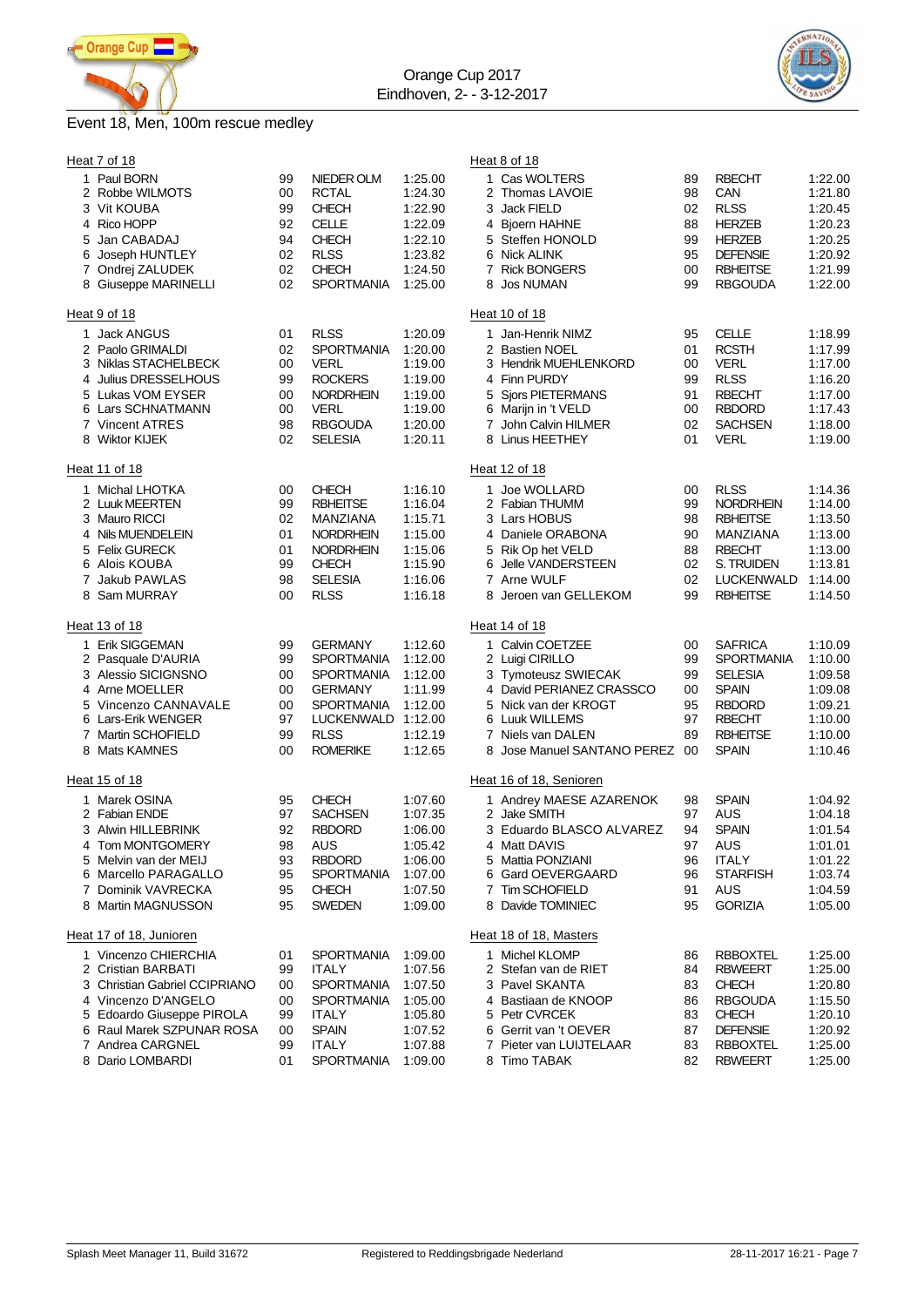

## Event 18, Men, 100m rescue medley

| Heat 7 of 18                                                                                                                                                                                         |                                              |                                                                                                                                                        |                                                                                      | Heat 8 of 18                                                                                                                                                                                                                                                                                                                                                                    |                                                                                      |
|------------------------------------------------------------------------------------------------------------------------------------------------------------------------------------------------------|----------------------------------------------|--------------------------------------------------------------------------------------------------------------------------------------------------------|--------------------------------------------------------------------------------------|---------------------------------------------------------------------------------------------------------------------------------------------------------------------------------------------------------------------------------------------------------------------------------------------------------------------------------------------------------------------------------|--------------------------------------------------------------------------------------|
| 1 Paul BORN<br>Robbe WILMOTS<br>2<br>3 Vit KOUBA<br>4 Rico HOPP<br>Jan CABADAJ<br>5<br>6 Joseph HUNTLEY<br>7 Ondrej ZALUDEK<br>8 Giuseppe MARINELLI                                                  | 99<br>00<br>99<br>92<br>94<br>02<br>02<br>02 | NIEDER OLM<br><b>RCTAL</b><br><b>CHECH</b><br><b>CELLE</b><br><b>CHECH</b><br><b>RLSS</b><br><b>CHECH</b><br><b>SPORTMANIA</b>                         | 1:25.00<br>1:24.30<br>1:22.90<br>1:22.09<br>1:22.10<br>1:23.82<br>1:24.50<br>1:25.00 | 1 Cas WOLTERS<br><b>RBECHT</b><br>89<br>2 Thomas LAVOIE<br>98<br>CAN<br>3 Jack FIELD<br><b>RLSS</b><br>02<br><b>HERZEB</b><br>4 Bjoern HAHNE<br>88<br><b>HERZEB</b><br>5 Steffen HONOLD<br>99<br>6 Nick ALINK<br><b>DEFENSIE</b><br>95<br><b>RBHEITSE</b><br>7 Rick BONGERS<br>00<br>99<br><b>RBGOUDA</b><br>8 Jos NUMAN                                                        | 1:22.00<br>1:21.80<br>1:20.45<br>1:20.23<br>1:20.25<br>1:20.92<br>1:21.99<br>1:22.00 |
| Heat 9 of 18                                                                                                                                                                                         |                                              |                                                                                                                                                        |                                                                                      | Heat 10 of 18                                                                                                                                                                                                                                                                                                                                                                   |                                                                                      |
| 1 Jack ANGUS<br>2 Paolo GRIMALDI<br>3 Niklas STACHELBECK<br>Julius DRESSELHOUS<br>4<br>5 Lukas VOM EYSER<br>6 Lars SCHNATMANN<br>7 Vincent ATRES<br>8 Wiktor KIJEK                                   | 01<br>02<br>00<br>99<br>00<br>00<br>98<br>02 | <b>RLSS</b><br><b>SPORTMANIA</b><br><b>VERL</b><br><b>ROCKERS</b><br><b>NORDRHEIN</b><br><b>VERL</b><br><b>RBGOUDA</b><br><b>SELESIA</b>               | 1:20.09<br>1:20.00<br>1:19.00<br>1:19.00<br>1:19.00<br>1:19.00<br>1:20.00<br>1:20.11 | <b>CELLE</b><br>1 Jan-Henrik NIMZ<br>95<br><b>RCSTH</b><br>2 Bastien NOEL<br>01<br><b>VERL</b><br>3 Hendrik MUEHLENKORD<br>00<br>4 Finn PURDY<br><b>RLSS</b><br>99<br>5 Sjors PIETERMANS<br><b>RBECHT</b><br>91<br>6 Marijn in 't VELD<br><b>RBDORD</b><br>00<br>7 John Calvin HILMER<br>02<br><b>SACHSEN</b><br>8 Linus HEETHEY<br><b>VERL</b><br>01                           | 1:18.99<br>1:17.99<br>1:17.00<br>1:16.20<br>1:17.00<br>1:17.43<br>1:18.00<br>1:19.00 |
| Heat 11 of 18                                                                                                                                                                                        |                                              |                                                                                                                                                        |                                                                                      | Heat 12 of 18                                                                                                                                                                                                                                                                                                                                                                   |                                                                                      |
| 1 Michal LHOTKA<br>2 Luuk MEERTEN<br>3 Mauro RICCI<br>4 Nils MUENDELEIN<br>5 Felix GURECK<br>6 Alois KOUBA<br>7 Jakub PAWLAS<br>Sam MURRAY<br>8                                                      | 00<br>99<br>02<br>01<br>01<br>99<br>98<br>00 | <b>CHECH</b><br><b>RBHEITSE</b><br>MANZIANA<br><b>NORDRHEIN</b><br><b>NORDRHEIN</b><br><b>CHECH</b><br><b>SELESIA</b><br><b>RLSS</b>                   | 1:16.10<br>1:16.04<br>1:15.71<br>1:15.00<br>1:15.06<br>1:15.90<br>1:16.06<br>1:16.18 | <b>RLSS</b><br>1 Joe WOLLARD<br>00<br><b>NORDRHEIN</b><br>2 Fabian THUMM<br>99<br>3 Lars HOBUS<br><b>RBHEITSE</b><br>98<br>MANZIANA<br>4 Daniele ORABONA<br>90<br>5 Rik Op het VELD<br><b>RBECHT</b><br>88<br>S. TRUIDEN<br>6 Jelle VANDERSTEEN<br>02<br>7 Arne WULF<br>02<br><b>LUCKENWALD</b><br>Jeroen van GELLEKOM<br><b>RBHEITSE</b><br>8<br>99                            | 1:14.36<br>1:14.00<br>1:13.50<br>1:13.00<br>1:13.00<br>1:13.81<br>1:14.00<br>1:14.50 |
| Heat 13 of 18                                                                                                                                                                                        |                                              |                                                                                                                                                        |                                                                                      | Heat 14 of 18                                                                                                                                                                                                                                                                                                                                                                   |                                                                                      |
| 1 Erik SIGGEMAN<br>2 Pasquale D'AURIA<br>3 Alessio SICIGNSNO<br>4 Arne MOELLER<br>5 Vincenzo CANNAVALE<br>6 Lars-Erik WENGER<br><b>Martin SCHOFIELD</b><br>7<br>8 Mats KAMNES                        | 99<br>99<br>00<br>00<br>00<br>97<br>99<br>00 | <b>GERMANY</b><br><b>SPORTMANIA</b><br><b>SPORTMANIA</b><br><b>GERMANY</b><br><b>SPORTMANIA</b><br><b>LUCKENWALD</b><br><b>RLSS</b><br><b>ROMERIKE</b> | 1:12.60<br>1:12.00<br>1:12.00<br>1:11.99<br>1:12.00<br>1:12.00<br>1:12.19<br>1:12.65 | 1 Calvin COETZEE<br><b>SAFRICA</b><br>00<br><b>SPORTMANIA</b><br>2 Luigi CIRILLO<br>99<br>3 Tymoteusz SWIECAK<br><b>SELESIA</b><br>99<br>4 David PERIANEZ CRASSCO<br><b>SPAIN</b><br>00<br>5 Nick van der KROGT<br><b>RBDORD</b><br>95<br>6 Luuk WILLEMS<br>97<br><b>RBECHT</b><br>7 Niels van DALEN<br><b>RBHEITSE</b><br>89<br><b>SPAIN</b><br>8 Jose Manuel SANTANO PEREZ 00 | 1:10.09<br>1:10.00<br>1:09.58<br>1:09.08<br>1:09.21<br>1:10.00<br>1:10.00<br>1:10.46 |
| Heat 15 of 18                                                                                                                                                                                        |                                              |                                                                                                                                                        |                                                                                      | Heat 16 of 18, Senioren                                                                                                                                                                                                                                                                                                                                                         |                                                                                      |
| 1 Marek OSINA<br>2 Fabian ENDE<br>Alwin HILLEBRINK<br>3.<br>4 Tom MONTGOMERY<br>5 Melvin van der MEIJ<br>6 Marcello PARAGALLO<br>7 Dominik VAVRECKA<br>8 Martin MAGNUSSON                            | 95<br>97<br>92<br>98<br>93<br>95<br>95<br>95 | <b>CHECH</b><br><b>SACHSEN</b><br><b>RBDORD</b><br>AUS<br><b>RBDORD</b><br><b>SPORTMANIA</b><br><b>CHECH</b><br><b>SWEDEN</b>                          | 1:07.60<br>1:07.35<br>1:06.00<br>1:05.42<br>1:06.00<br>1:07.00<br>1:07.50<br>1:09.00 | 1 Andrey MAESE AZARENOK<br><b>SPAIN</b><br>98<br>AUS<br>2 Jake SMITH<br>97<br><b>SPAIN</b><br>3 Eduardo BLASCO ALVAREZ<br>94<br>AUS<br>4 Matt DAVIS<br>97<br>5 Mattia PONZIANI<br><b>ITALY</b><br>96<br>6 Gard OEVERGAARD<br><b>STARFISH</b><br>96<br>7 Tim SCHOFIELD<br>AUS<br>91<br>8 Davide TOMINIEC<br><b>GORIZIA</b><br>95                                                 | 1:04.92<br>1:04.18<br>1:01.54<br>1:01.01<br>1:01.22<br>1:03.74<br>1:04.59<br>1:05.00 |
| Heat 17 of 18, Junioren                                                                                                                                                                              |                                              |                                                                                                                                                        |                                                                                      | Heat 18 of 18, Masters                                                                                                                                                                                                                                                                                                                                                          |                                                                                      |
| 1 Vincenzo CHIERCHIA<br>2 Cristian BARBATI<br>3 Christian Gabriel CCIPRIANO<br>4 Vincenzo D'ANGELO<br>5 Edoardo Giuseppe PIROLA<br>6 Raul Marek SZPUNAR ROSA<br>7 Andrea CARGNEL<br>8 Dario LOMBARDI | 01<br>99<br>00<br>00<br>99<br>00<br>99<br>01 | <b>SPORTMANIA</b><br><b>ITALY</b><br><b>SPORTMANIA</b><br><b>SPORTMANIA</b><br><b>ITALY</b><br><b>SPAIN</b><br><b>ITALY</b><br><b>SPORTMANIA</b>       | 1:09.00<br>1:07.56<br>1:07.50<br>1:05.00<br>1:05.80<br>1:07.52<br>1:07.88<br>1:09.00 | 1 Michel KLOMP<br><b>RBBOXTEL</b><br>86<br>2 Stefan van de RIET<br><b>RBWEERT</b><br>84<br>3 Pavel SKANTA<br><b>CHECH</b><br>83<br>4 Bastiaan de KNOOP<br><b>RBGOUDA</b><br>86<br>5 Petr CVRCEK<br><b>CHECH</b><br>83<br><b>DEFENSIE</b><br>6 Gerrit van 't OEVER<br>87<br>7 Pieter van LUIJTELAAR<br><b>RBBOXTEL</b><br>83<br>8 Timo TABAK<br><b>RBWEERT</b><br>82             | 1:25.00<br>1:25.00<br>1:20.80<br>1:15.50<br>1:20.10<br>1:20.92<br>1:25.00<br>1:25.00 |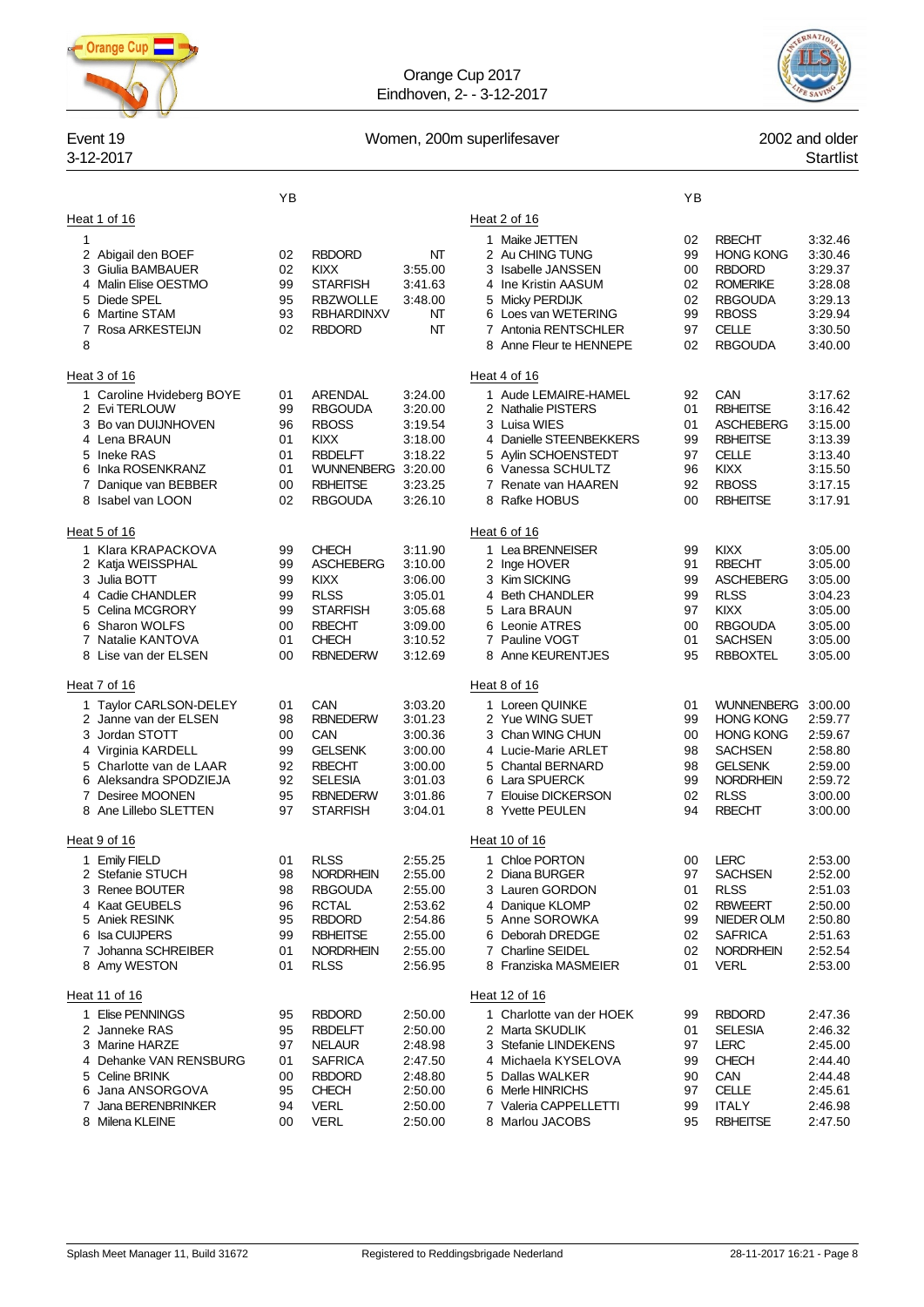

Orange Cup 2017 Eindhoven, 2- - 3-12-2017



### Event 19 **Event 19** 2002 and older

# 3-12-2017 Startlist

|                                                                                                                                                                                                              | ΥB                                           |                                                                                                                                          |                                                                                      |                                                                                                                                                                                                | YB                                           |                                                                                                                                                   |                                                                                      |
|--------------------------------------------------------------------------------------------------------------------------------------------------------------------------------------------------------------|----------------------------------------------|------------------------------------------------------------------------------------------------------------------------------------------|--------------------------------------------------------------------------------------|------------------------------------------------------------------------------------------------------------------------------------------------------------------------------------------------|----------------------------------------------|---------------------------------------------------------------------------------------------------------------------------------------------------|--------------------------------------------------------------------------------------|
| Heat 1 of 16<br>1<br>2 Abigail den BOEF<br>Giulia BAMBAUER<br>3<br>4 Malin Elise OESTMO<br>Diede SPEL<br>5<br>6 Martine STAM<br>7 Rosa ARKESTEIJN<br>8                                                       | 02<br>02<br>99<br>95<br>93<br>02             | <b>RBDORD</b><br><b>KIXX</b><br><b>STARFISH</b><br><b>RBZWOLLE</b><br><b>RBHARDINXV</b><br><b>RBDORD</b>                                 | NT<br>3:55.00<br>3:41.63<br>3:48.00<br>NT<br>NT                                      | Heat 2 of 16<br>1 Maike JETTEN<br>2 Au CHING TUNG<br>3 Isabelle JANSSEN<br>4 Ine Kristin AASUM<br>5 Micky PERDIJK<br>6 Loes van WETERING<br>7 Antonia RENTSCHLER<br>8 Anne Fleur te HENNEPE    | 02<br>99<br>00<br>02<br>02<br>99<br>97<br>02 | <b>RBECHT</b><br><b>HONG KONG</b><br><b>RBDORD</b><br><b>ROMERIKE</b><br><b>RBGOUDA</b><br><b>RBOSS</b><br>CELLE<br><b>RBGOUDA</b>                | 3:32.46<br>3:30.46<br>3.29.37<br>3.28.08<br>3:29.13<br>3:29.94<br>3.30.50<br>3:40.00 |
| Heat 3 of 16<br>1 Caroline Hvideberg BOYE<br>2 Evi TERLOUW<br>3 Bo van DUIJNHOVEN<br>4 Lena BRAUN<br>5 Ineke RAS<br>6 Inka ROSENKRANZ<br>7<br>Danique van BEBBER<br>8 Isabel van LOON                        | 01<br>99<br>96<br>01<br>01<br>01<br>00<br>02 | ARENDAL<br><b>RBGOUDA</b><br><b>RBOSS</b><br><b>KIXX</b><br><b>RBDELFT</b><br><b>WUNNENBERG</b><br><b>RBHEITSE</b><br><b>RBGOUDA</b>     | 3:24.00<br>3:20.00<br>3:19.54<br>3:18.00<br>3:18.22<br>3:20.00<br>3:23.25<br>3:26.10 | Heat 4 of 16<br>1 Aude LEMAIRE-HAMEL<br>2 Nathalie PISTERS<br>3 Luisa WIES<br>4 Danielle STEENBEKKERS<br>5 Aylin SCHOENSTEDT<br>6 Vanessa SCHULTZ<br>7 Renate van HAAREN<br>8 Rafke HOBUS      | 92<br>01<br>01<br>99<br>97<br>96<br>92<br>00 | CAN<br><b>RBHEITSE</b><br><b>ASCHEBERG</b><br><b>RBHEITSE</b><br>CELLE<br><b>KIXX</b><br><b>RBOSS</b><br><b>RBHEITSE</b>                          | 3:17.62<br>3:16.42<br>3:15.00<br>3:13.39<br>3.13.40<br>3:15.50<br>3:17.15<br>3:17.91 |
| Heat 5 of 16<br>1 Klara KRAPACKOVA<br>2 Katja WEISSPHAL<br>3 Julia BOTT<br>4 Cadie CHANDLER<br>5 Celina MCGRORY<br><b>Sharon WOLFS</b><br>6<br>7 Natalie KANTOVA<br>8 Lise van der ELSEN                     | 99<br>99<br>99<br>99<br>99<br>00<br>01<br>00 | <b>CHECH</b><br><b>ASCHEBERG</b><br><b>KIXX</b><br><b>RLSS</b><br><b>STARFISH</b><br><b>RBECHT</b><br><b>CHECH</b><br><b>RBNEDERW</b>    | 3:11.90<br>3:10.00<br>3:06.00<br>3:05.01<br>3:05.68<br>3:09.00<br>3:10.52<br>3:12.69 | Heat 6 of 16<br>1 Lea BRENNEISER<br>2 Inge HOVER<br>3 Kim SICKING<br>4 Beth CHANDLER<br>5 Lara BRAUN<br>6 Leonie ATRES<br>7 Pauline VOGT<br>8 Anne KEURENTJES                                  | 99<br>91<br>99<br>99<br>97<br>00<br>01<br>95 | <b>KIXX</b><br><b>RBECHT</b><br><b>ASCHEBERG</b><br><b>RLSS</b><br>KIXX<br><b>RBGOUDA</b><br><b>SACHSEN</b><br><b>RBBOXTEL</b>                    | 3:05.00<br>3:05.00<br>3:05.00<br>3:04.23<br>3:05.00<br>3:05.00<br>3:05.00<br>3:05.00 |
| Heat 7 of 16<br>1 Taylor CARLSON-DELEY<br>2 Janne van der ELSEN<br>Jordan STOTT<br>3<br>4 Virginia KARDELL<br>5 Charlotte van de LAAR<br>6 Aleksandra SPODZIEJA<br>7 Desiree MOONEN<br>8 Ane Lillebo SLETTEN | 01<br>98<br>00<br>99<br>92<br>92<br>95<br>97 | CAN<br><b>RBNEDERW</b><br>CAN<br><b>GELSENK</b><br><b>RBECHT</b><br><b>SELESIA</b><br><b>RBNEDERW</b><br><b>STARFISH</b>                 | 3:03.20<br>3:01.23<br>3:00.36<br>3:00.00<br>3:00.00<br>3:01.03<br>3:01.86<br>3:04.01 | Heat 8 of 16<br>1 Loreen QUINKE<br>2 Yue WING SUET<br>3 Chan WING CHUN<br>4 Lucie-Marie ARLET<br>5 Chantal BERNARD<br>6 Lara SPUERCK<br>7 Elouise DICKERSON<br>8 Yvette PEULEN                 | 01<br>99<br>00<br>98<br>98<br>99<br>02<br>94 | <b>WUNNENBERG</b><br><b>HONG KONG</b><br><b>HONG KONG</b><br><b>SACHSEN</b><br><b>GELSENK</b><br><b>NORDRHEIN</b><br><b>RLSS</b><br><b>RBECHT</b> | 3:00.00<br>2.59.77<br>2.59.67<br>2.58.80<br>2:59.00<br>2:59.72<br>3:00.00<br>3:00.00 |
| Heat 9 of 16<br>1 Emily FIELD<br>2 Stefanie STUCH<br>3 Renee BOUTER<br>4 Kaat GEUBELS<br>5 Aniek RESINK<br>6 Isa CUIJPERS<br>7 Johanna SCHREIBER<br>8 Amy WESTON                                             | 01<br>98<br>98<br>96<br>95<br>99<br>01<br>01 | <b>RLSS</b><br><b>NORDRHEIN</b><br><b>RBGOUDA</b><br><b>RCTAL</b><br><b>RBDORD</b><br><b>RBHEITSE</b><br><b>NORDRHEIN</b><br><b>RLSS</b> | 2:55.25<br>2:55.00<br>2:55.00<br>2:53.62<br>2:54.86<br>2:55.00<br>2:55.00<br>2:56.95 | Heat 10 of 16<br>1 Chloe PORTON<br>2 Diana BURGER<br>3 Lauren GORDON<br>4 Danique KLOMP<br>5 Anne SOROWKA<br>6 Deborah DREDGE<br>7 Charline SEIDEL<br>8 Franziska MASMEIER                     | 00<br>97<br>01<br>02<br>99<br>02<br>02<br>01 | <b>LERC</b><br><b>SACHSEN</b><br><b>RLSS</b><br><b>RBWEERT</b><br>NIEDER OLM<br><b>SAFRICA</b><br><b>NORDRHEIN</b><br><b>VERL</b>                 | 2:53.00<br>2:52.00<br>2:51.03<br>2:50.00<br>2:50.80<br>2:51.63<br>2:52.54<br>2:53.00 |
| Heat 11 of 16<br>1 Elise PENNINGS<br>2 Janneke RAS<br>3 Marine HARZE<br>4 Dehanke VAN RENSBURG<br>5 Celine BRINK<br>6 Jana ANSORGOVA<br>7 Jana BERENBRINKER<br>8 Milena KLEINE                               | 95<br>95<br>97<br>01<br>00<br>95<br>94<br>00 | <b>RBDORD</b><br><b>RBDELFT</b><br><b>NELAUR</b><br><b>SAFRICA</b><br><b>RBDORD</b><br><b>CHECH</b><br><b>VERL</b><br><b>VERL</b>        | 2:50.00<br>2:50.00<br>2:48.98<br>2:47.50<br>2:48.80<br>2:50.00<br>2:50.00<br>2:50.00 | Heat 12 of 16<br>1 Charlotte van der HOEK<br>2 Marta SKUDLIK<br>3 Stefanie LINDEKENS<br>4 Michaela KYSELOVA<br>5 Dallas WALKER<br>6 Merle HINRICHS<br>7 Valeria CAPPELLETTI<br>8 Marlou JACOBS | 99<br>01<br>97<br>99<br>90<br>97<br>99<br>95 | <b>RBDORD</b><br><b>SELESIA</b><br><b>LERC</b><br><b>CHECH</b><br>CAN<br><b>CELLE</b><br><b>ITALY</b><br><b>RBHEITSE</b>                          | 2:47.36<br>2:46.32<br>2:45.00<br>2:44.40<br>2:44.48<br>2:45.61<br>2:46.98<br>2:47.50 |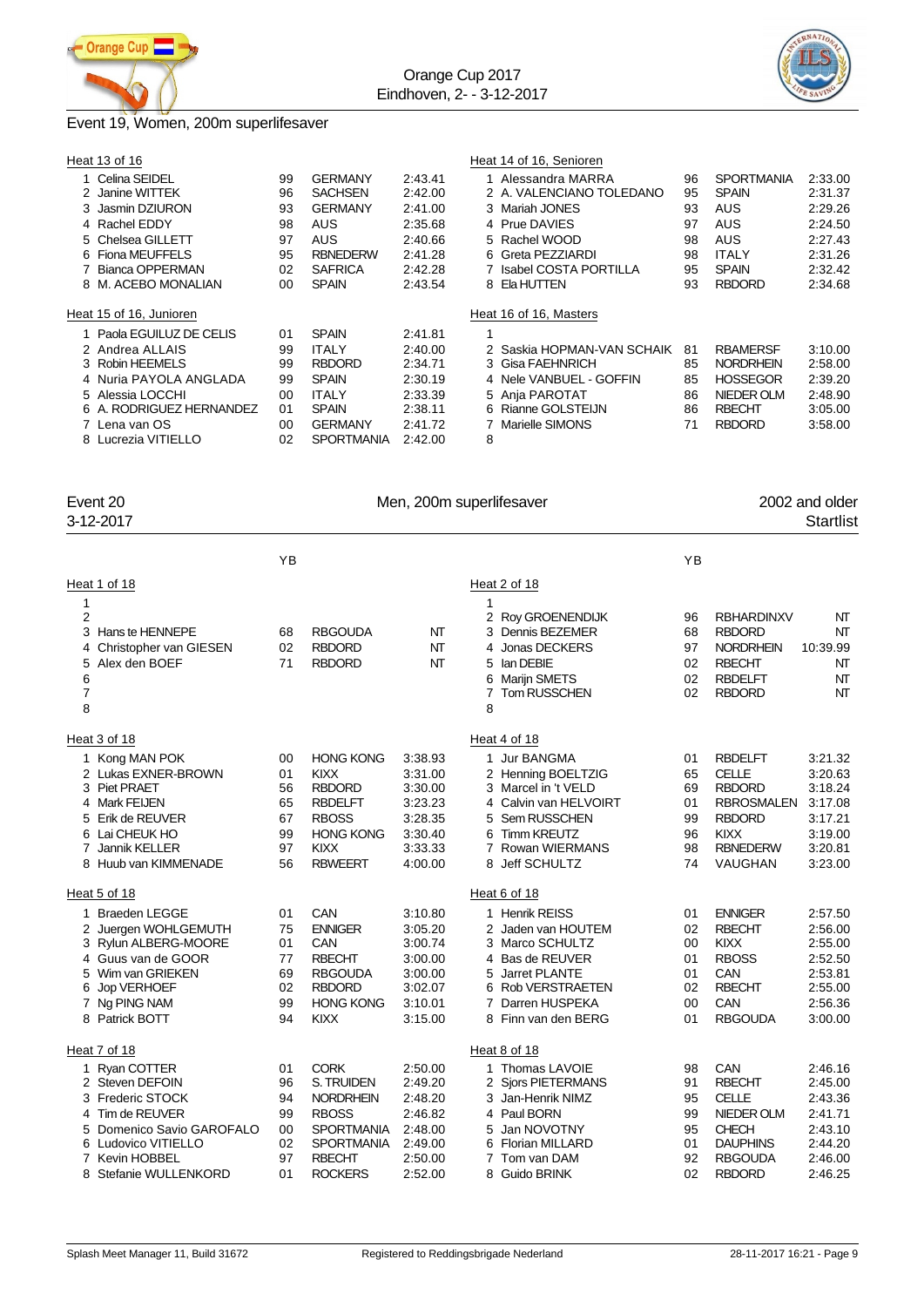



### Event 19, Women, 200m superlifesaver

| Heat 13 of 16            |    |                   |         | Heat 14 of 16, Senioren    |    |                   |         |
|--------------------------|----|-------------------|---------|----------------------------|----|-------------------|---------|
| Celina SEIDEL            | 99 | <b>GERMANY</b>    | 2:43.41 | 1 Alessandra MARRA         | 96 | <b>SPORTMANIA</b> | 2:33.00 |
| 2 Janine WITTEK          | 96 | <b>SACHSEN</b>    | 2:42.00 | 2 A. VALENCIANO TOLEDANO   | 95 | <b>SPAIN</b>      | 2:31.37 |
| 3 Jasmin DZIURON         | 93 | <b>GERMANY</b>    | 2:41.00 | 3 Mariah JONES             | 93 | AUS               | 2:29.26 |
| 4 Rachel EDDY            | 98 | <b>AUS</b>        | 2:35.68 | 4 Prue DAVIES              | 97 | <b>AUS</b>        | 2:24.50 |
| 5 Chelsea GILLETT        | 97 | AUS               | 2:40.66 | 5 Rachel WOOD              | 98 | AUS               | 2:27.43 |
| 6 Fiona MEUFFELS         | 95 | <b>RBNEDERW</b>   | 2:41.28 | 6 Greta PEZZIARDI          | 98 | <b>ITALY</b>      | 2:31.26 |
| Bianca OPPERMAN          | 02 | <b>SAFRICA</b>    | 2:42.28 | 7 Isabel COSTA PORTILLA    | 95 | <b>SPAIN</b>      | 2:32.42 |
| 8 M. ACEBO MONALIAN      | 00 | <b>SPAIN</b>      | 2:43.54 | 8 Ela HUTTEN               | 93 | <b>RBDORD</b>     | 2:34.68 |
|                          |    |                   |         |                            |    |                   |         |
| Heat 15 of 16, Junioren  |    |                   |         | Heat 16 of 16, Masters     |    |                   |         |
| 1 Paola EGUILUZ DE CELIS | 01 | <b>SPAIN</b>      | 2:41.81 |                            |    |                   |         |
|                          |    |                   |         |                            |    |                   |         |
| 2 Andrea ALLAIS          | 99 | <b>ITALY</b>      | 2:40.00 | 2 Saskia HOPMAN-VAN SCHAIK | 81 | <b>RBAMERSF</b>   | 3:10.00 |
| 3 Robin HEEMELS          | 99 | <b>RBDORD</b>     | 2:34.71 | 3 Gisa FAEHNRICH           | 85 | <b>NORDRHEIN</b>  | 2:58.00 |
| 4 Nuria PAYOLA ANGLADA   | 99 | <b>SPAIN</b>      | 2:30.19 | 4 Nele VANBUEL - GOFFIN    | 85 | <b>HOSSEGOR</b>   | 2:39.20 |
| 5 Alessia LOCCHI         | 00 | <b>ITALY</b>      | 2:33.39 | 5 Ania PAROTAT             | 86 | NIEDER OLM        | 2:48.90 |
| 6 A. RODRIGUEZ HERNANDEZ | 01 | <b>SPAIN</b>      | 2:38.11 | 6 Rianne GOLSTEIJN         | 86 | <b>RBECHT</b>     | 3:05.00 |
| 7 Lena van OS            | 00 | <b>GERMANY</b>    | 2:41.72 | 7 Marielle SIMONS          | 71 | <b>RBDORD</b>     | 3:58.00 |
| 8 Lucrezia VITIELLO      | 02 | <b>SPORTMANIA</b> | 2:42.00 | 8                          |    |                   |         |

Event 20 **Event 20** Men, 200m superlifesaver **2001** 2002 and older 3-12-2017 3-12-2017 Startlist

|                                                   |                                                                                                                                                                 | YB                                           |                                                                                                                                            |                                                                                      |                                                                                                                                                                           | YB                                           |                                                                                                                                    |                                                                                      |
|---------------------------------------------------|-----------------------------------------------------------------------------------------------------------------------------------------------------------------|----------------------------------------------|--------------------------------------------------------------------------------------------------------------------------------------------|--------------------------------------------------------------------------------------|---------------------------------------------------------------------------------------------------------------------------------------------------------------------------|----------------------------------------------|------------------------------------------------------------------------------------------------------------------------------------|--------------------------------------------------------------------------------------|
|                                                   | Heat 1 of 18                                                                                                                                                    |                                              |                                                                                                                                            |                                                                                      | Heat 2 of 18                                                                                                                                                              |                                              |                                                                                                                                    |                                                                                      |
| 1<br>2<br>3<br>4<br>5<br>6<br>$\overline{7}$<br>8 | Hans te HENNEPE<br>Christopher van GIESEN<br>Alex den BOEF                                                                                                      | 68<br>02<br>71                               | <b>RBGOUDA</b><br><b>RBDORD</b><br><b>RBDORD</b>                                                                                           | NT<br>NT<br>NΤ                                                                       | 1<br>2 Roy GROENENDIJK<br>3 Dennis BEZEMER<br>4 Jonas DECKERS<br>lan DEBIE<br>5.<br><b>Marijn SMETS</b><br>6<br><b>Tom RUSSCHEN</b><br>7<br>8                             | 96<br>68<br>97<br>02<br>02<br>02             | <b>RBHARDINXV</b><br><b>RBDORD</b><br><b>NORDRHEIN</b><br><b>RBECHT</b><br><b>RBDELFT</b><br><b>RBDORD</b>                         | NT<br><b>NT</b><br>10:39.99<br>NT<br>NT<br>NΤ                                        |
|                                                   | Heat 3 of 18                                                                                                                                                    |                                              |                                                                                                                                            |                                                                                      | Heat 4 of 18                                                                                                                                                              |                                              |                                                                                                                                    |                                                                                      |
| 3<br>4<br>5<br>6<br>7<br>8                        | 1 Kong MAN POK<br>2 Lukas EXNER-BROWN<br>Piet PRAET<br><b>Mark FEIJEN</b><br>Erik de REUVER<br>Lai CHEUK HO<br>Jannik KELLER<br>Huub van KIMMENADE              | 00<br>01<br>56<br>65<br>67<br>99<br>97<br>56 | <b>HONG KONG</b><br>KIXX<br><b>RBDORD</b><br><b>RBDELFT</b><br><b>RBOSS</b><br><b>HONG KONG</b><br>KIXX<br><b>RBWEERT</b>                  | 3:38.93<br>3:31.00<br>3:30.00<br>3:23.23<br>3:28.35<br>3:30.40<br>3:33.33<br>4:00.00 | 1 Jur BANGMA<br>2 Henning BOELTZIG<br>3 Marcel in 't VELD<br>4 Calvin van HELVOIRT<br>5 Sem RUSSCHEN<br><b>Timm KREUTZ</b><br>6.<br>7 Rowan WIERMANS<br>Jeff SCHULTZ<br>8 | 01<br>65<br>69<br>01<br>99<br>96<br>98<br>74 | <b>RBDELFT</b><br><b>CELLE</b><br><b>RBDORD</b><br><b>RBROSMALEN</b><br><b>RBDORD</b><br><b>KIXX</b><br><b>RBNEDERW</b><br>VAUGHAN | 3:21.32<br>3:20.63<br>3:18.24<br>3:17.08<br>3:17.21<br>3:19.00<br>3:20.81<br>3:23.00 |
|                                                   | Heat 5 of 18                                                                                                                                                    |                                              |                                                                                                                                            |                                                                                      | Heat 6 of 18                                                                                                                                                              |                                              |                                                                                                                                    |                                                                                      |
| 1<br>2<br>3<br>4<br>5<br>6<br>8                   | <b>Braeden LEGGE</b><br>Juergen WOHLGEMUTH<br>Rylun ALBERG-MOORE<br>Guus van de GOOR<br>Wim van GRIEKEN<br>Jop VERHOEF<br>Ng PING NAM<br>Patrick BOTT           | 01<br>75<br>01<br>77<br>69<br>02<br>99<br>94 | CAN<br><b>ENNIGER</b><br>CAN<br><b>RBECHT</b><br><b>RBGOUDA</b><br><b>RBDORD</b><br><b>HONG KONG</b><br><b>KIXX</b>                        | 3:10.80<br>3:05.20<br>3:00.74<br>3:00.00<br>3:00.00<br>3:02.07<br>3:10.01<br>3:15.00 | 1 Henrik REISS<br>2 Jaden van HOUTEM<br>3 Marco SCHULTZ<br>4 Bas de REUVER<br>Jarret PLANTE<br>5<br>6 Rob VERSTRAETEN<br>7 Darren HUSPEKA<br>8 Finn van den BERG          | 01<br>02<br>00<br>01<br>01<br>02<br>00<br>01 | <b>ENNIGER</b><br><b>RBECHT</b><br><b>KIXX</b><br><b>RBOSS</b><br>CAN<br><b>RBECHT</b><br>CAN<br><b>RBGOUDA</b>                    | 2:57.50<br>2:56.00<br>2:55.00<br>2:52.50<br>2:53.81<br>2:55.00<br>2:56.36<br>3:00.00 |
|                                                   | Heat 7 of 18                                                                                                                                                    |                                              |                                                                                                                                            |                                                                                      | Heat 8 of 18                                                                                                                                                              |                                              |                                                                                                                                    |                                                                                      |
| 3<br>4<br>5<br>6<br>7<br>8                        | Ryan COTTER<br>2 Steven DEFOIN<br><b>Frederic STOCK</b><br>Tim de REUVER<br>Domenico Savio GAROFALO<br>Ludovico VITIELLO<br>Kevin HOBBEL<br>Stefanie WULLENKORD | 01<br>96<br>94<br>99<br>00<br>02<br>97<br>01 | <b>CORK</b><br>S. TRUIDEN<br><b>NORDRHEIN</b><br><b>RBOSS</b><br><b>SPORTMANIA</b><br><b>SPORTMANIA</b><br><b>RBECHT</b><br><b>ROCKERS</b> | 2:50.00<br>2:49.20<br>2:48.20<br>2:46.82<br>2:48.00<br>2:49.00<br>2:50.00<br>2:52.00 | 1 Thomas LAVOIE<br>2 Siors PIETERMANS<br>3 Jan-Henrik NIMZ<br>4 Paul BORN<br>5 Jan NOVOTNY<br>6 Florian MILLARD<br>7 Tom van DAM<br>8 Guido BRINK                         | 98<br>91<br>95<br>99<br>95<br>01<br>92<br>02 | CAN<br><b>RBECHT</b><br><b>CELLE</b><br>NIEDER OLM<br><b>CHECH</b><br><b>DAUPHINS</b><br><b>RBGOUDA</b><br><b>RBDORD</b>           | 2:46.16<br>2:45.00<br>2:43.36<br>2:41.71<br>2:43.10<br>2:44.20<br>2:46.00<br>2:46.25 |